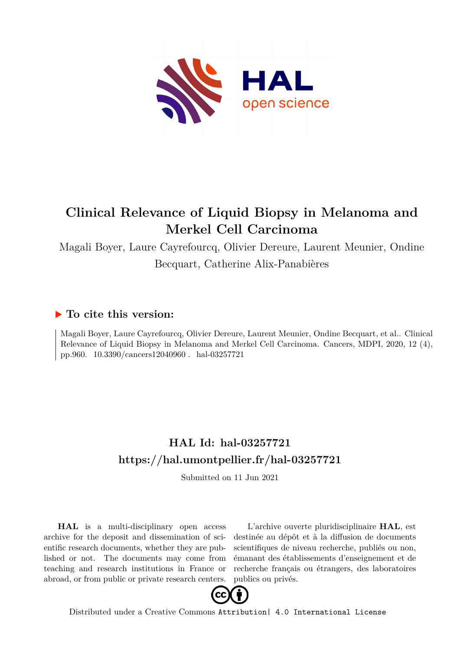

## **Clinical Relevance of Liquid Biopsy in Melanoma and Merkel Cell Carcinoma**

Magali Boyer, Laure Cayrefourcq, Olivier Dereure, Laurent Meunier, Ondine Becquart, Catherine Alix-Panabières

### **To cite this version:**

Magali Boyer, Laure Cayrefourcq, Olivier Dereure, Laurent Meunier, Ondine Becquart, et al.. Clinical Relevance of Liquid Biopsy in Melanoma and Merkel Cell Carcinoma. Cancers, MDPI, 2020, 12 (4), pp.960. 10.3390/cancers12040960. hal-03257721

### **HAL Id: hal-03257721 <https://hal.umontpellier.fr/hal-03257721>**

Submitted on 11 Jun 2021

**HAL** is a multi-disciplinary open access archive for the deposit and dissemination of scientific research documents, whether they are published or not. The documents may come from teaching and research institutions in France or abroad, or from public or private research centers.

L'archive ouverte pluridisciplinaire **HAL**, est destinée au dépôt et à la diffusion de documents scientifiques de niveau recherche, publiés ou non, émanant des établissements d'enseignement et de recherche français ou étrangers, des laboratoires publics ou privés.



Distributed under a Creative Commons [Attribution| 4.0 International License](http://creativecommons.org/licenses/by/4.0/)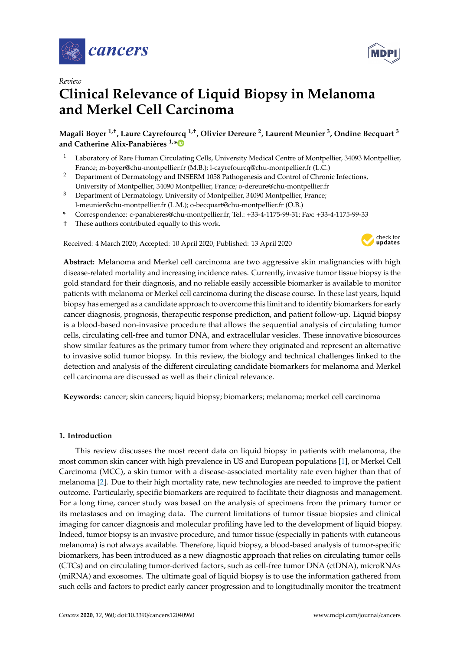



# **Clinical Relevance of Liquid Biopsy in Melanoma and Merkel Cell Carcinoma**

**Magali Boyer 1,**† **, Laure Cayrefourcq 1,**† **, Olivier Dereure <sup>2</sup> , Laurent Meunier <sup>3</sup> , Ondine Becquart <sup>3</sup> and Catherine Alix-Panabières 1,[\\*](https://orcid.org/0000-0002-6401-2903)**

- <sup>1</sup> Laboratory of Rare Human Circulating Cells, University Medical Centre of Montpellier, 34093 Montpellier, France; m-boyer@chu-montpellier.fr (M.B.); l-cayrefourcq@chu-montpellier.fr (L.C.)
- <sup>2</sup> Department of Dermatology and INSERM 1058 Pathogenesis and Control of Chronic Infections, University of Montpellier, 34090 Montpellier, France; o-dereure@chu-montpellier.fr
- <sup>3</sup> Department of Dermatology, University of Montpellier, 34090 Montpellier, France; l-meunier@chu-montpellier.fr (L.M.); o-becquart@chu-montpellier.fr (O.B.)
- **\*** Correspondence: c-panabieres@chu-montpellier.fr; Tel.: +33-4-1175-99-31; Fax: +33-4-1175-99-33
- † These authors contributed equally to this work.

Received: 4 March 2020; Accepted: 10 April 2020; Published: 13 April 2020



**Abstract:** Melanoma and Merkel cell carcinoma are two aggressive skin malignancies with high disease-related mortality and increasing incidence rates. Currently, invasive tumor tissue biopsy is the gold standard for their diagnosis, and no reliable easily accessible biomarker is available to monitor patients with melanoma or Merkel cell carcinoma during the disease course. In these last years, liquid biopsy has emerged as a candidate approach to overcome this limit and to identify biomarkers for early cancer diagnosis, prognosis, therapeutic response prediction, and patient follow-up. Liquid biopsy is a blood-based non-invasive procedure that allows the sequential analysis of circulating tumor cells, circulating cell-free and tumor DNA, and extracellular vesicles. These innovative biosources show similar features as the primary tumor from where they originated and represent an alternative to invasive solid tumor biopsy. In this review, the biology and technical challenges linked to the detection and analysis of the different circulating candidate biomarkers for melanoma and Merkel cell carcinoma are discussed as well as their clinical relevance.

**Keywords:** cancer; skin cancers; liquid biopsy; biomarkers; melanoma; merkel cell carcinoma

#### **1. Introduction**

This review discusses the most recent data on liquid biopsy in patients with melanoma, the most common skin cancer with high prevalence in US and European populations [1], or Merkel Cell Carcinoma (MCC), a skin tumor with a disease-associated mortality rate even higher than that of melanoma [2]. Due to their high mortality rate, new technologies are needed to improve the patient outcome. Particularly, specific biomarkers are required to facilitate their diagnosis and management. For a long time, cancer study was based on the analysis of specimens from the primary tumor or its metastases and on imaging data. The current limitations of tumor tissue biopsies and clinical imaging for cancer diagnosis and molecular profiling have led to the development of liquid biopsy. Indeed, tumor biopsy is an invasive procedure, and tumor tissue (especially in patients with cutaneous melanoma) is not always available. Therefore, liquid biopsy, a blood-based analysis of tumor-specific biomarkers, has been introduced as a new diagnostic approach that relies on circulating tumor cells (CTCs) and on circulating tumor-derived factors, such as cell-free tumor DNA (ctDNA), microRNAs (miRNA) and exosomes. The ultimate goal of liquid biopsy is to use the information gathered from such cells and factors to predict early cancer progression and to longitudinally monitor the treatment

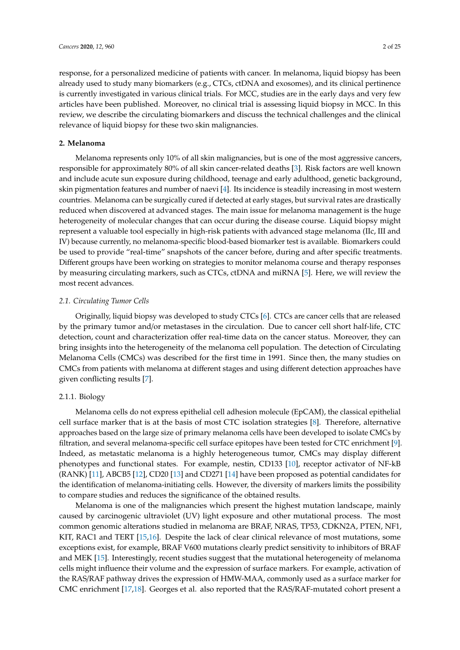response, for a personalized medicine of patients with cancer. In melanoma, liquid biopsy has been already used to study many biomarkers (e.g., CTCs, ctDNA and exosomes), and its clinical pertinence is currently investigated in various clinical trials. For MCC, studies are in the early days and very few articles have been published. Moreover, no clinical trial is assessing liquid biopsy in MCC. In this review, we describe the circulating biomarkers and discuss the technical challenges and the clinical relevance of liquid biopsy for these two skin malignancies.

#### **2. Melanoma**

Melanoma represents only 10% of all skin malignancies, but is one of the most aggressive cancers, responsible for approximately 80% of all skin cancer-related deaths [3]. Risk factors are well known and include acute sun exposure during childhood, teenage and early adulthood, genetic background, skin pigmentation features and number of naevi [4]. Its incidence is steadily increasing in most western countries. Melanoma can be surgically cured if detected at early stages, but survival rates are drastically reduced when discovered at advanced stages. The main issue for melanoma management is the huge heterogeneity of molecular changes that can occur during the disease course. Liquid biopsy might represent a valuable tool especially in high-risk patients with advanced stage melanoma (IIc, III and IV) because currently, no melanoma-specific blood-based biomarker test is available. Biomarkers could be used to provide "real-time" snapshots of the cancer before, during and after specific treatments. Different groups have been working on strategies to monitor melanoma course and therapy responses by measuring circulating markers, such as CTCs, ctDNA and miRNA [5]. Here, we will review the most recent advances.

#### *2.1. Circulating Tumor Cells*

Originally, liquid biopsy was developed to study CTCs [6]. CTCs are cancer cells that are released by the primary tumor and/or metastases in the circulation. Due to cancer cell short half-life, CTC detection, count and characterization offer real-time data on the cancer status. Moreover, they can bring insights into the heterogeneity of the melanoma cell population. The detection of Circulating Melanoma Cells (CMCs) was described for the first time in 1991. Since then, the many studies on CMCs from patients with melanoma at different stages and using different detection approaches have given conflicting results [7].

#### 2.1.1. Biology

Melanoma cells do not express epithelial cell adhesion molecule (EpCAM), the classical epithelial cell surface marker that is at the basis of most CTC isolation strategies [8]. Therefore, alternative approaches based on the large size of primary melanoma cells have been developed to isolate CMCs by filtration, and several melanoma-specific cell surface epitopes have been tested for CTC enrichment [9]. Indeed, as metastatic melanoma is a highly heterogeneous tumor, CMCs may display different phenotypes and functional states. For example, nestin, CD133 [10], receptor activator of NF-kB (RANK) [11], ABCB5 [12], CD20 [13] and CD271 [14] have been proposed as potential candidates for the identification of melanoma-initiating cells. However, the diversity of markers limits the possibility to compare studies and reduces the significance of the obtained results.

Melanoma is one of the malignancies which present the highest mutation landscape, mainly caused by carcinogenic ultraviolet (UV) light exposure and other mutational process. The most common genomic alterations studied in melanoma are BRAF, NRAS, TP53, CDKN2A, PTEN, NF1, KIT, RAC1 and TERT [15,16]. Despite the lack of clear clinical relevance of most mutations, some exceptions exist, for example, BRAF V600 mutations clearly predict sensitivity to inhibitors of BRAF and MEK [15]. Interestingly, recent studies suggest that the mutational heterogeneity of melanoma cells might influence their volume and the expression of surface markers. For example, activation of the RAS/RAF pathway drives the expression of HMW-MAA, commonly used as a surface marker for CMC enrichment [17,18]. Georges et al. also reported that the RAS/RAF-mutated cohort present a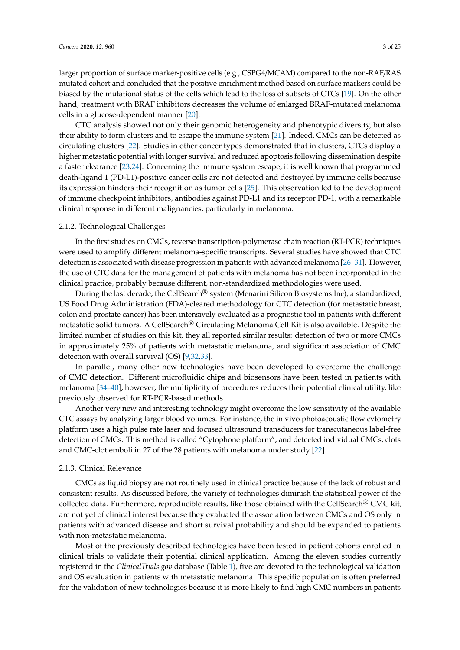larger proportion of surface marker-positive cells (e.g., CSPG4/MCAM) compared to the non-RAF/RAS mutated cohort and concluded that the positive enrichment method based on surface markers could be biased by the mutational status of the cells which lead to the loss of subsets of CTCs [19]. On the other hand, treatment with BRAF inhibitors decreases the volume of enlarged BRAF-mutated melanoma cells in a glucose-dependent manner [20].

CTC analysis showed not only their genomic heterogeneity and phenotypic diversity, but also their ability to form clusters and to escape the immune system [21]. Indeed, CMCs can be detected as circulating clusters [22]. Studies in other cancer types demonstrated that in clusters, CTCs display a higher metastatic potential with longer survival and reduced apoptosis following dissemination despite a faster clearance [23,24]. Concerning the immune system escape, it is well known that programmed death-ligand 1 (PD-L1)-positive cancer cells are not detected and destroyed by immune cells because its expression hinders their recognition as tumor cells [25]. This observation led to the development of immune checkpoint inhibitors, antibodies against PD-L1 and its receptor PD-1, with a remarkable clinical response in different malignancies, particularly in melanoma.

#### 2.1.2. Technological Challenges

In the first studies on CMCs, reverse transcription-polymerase chain reaction (RT-PCR) techniques were used to amplify different melanoma-specific transcripts. Several studies have showed that CTC detection is associated with disease progression in patients with advanced melanoma [26–31]. However, the use of CTC data for the management of patients with melanoma has not been incorporated in the clinical practice, probably because different, non-standardized methodologies were used.

During the last decade, the CellSearch<sup>®</sup> system (Menarini Silicon Biosystems Inc), a standardized, US Food Drug Administration (FDA)-cleared methodology for CTC detection (for metastatic breast, colon and prostate cancer) has been intensively evaluated as a prognostic tool in patients with different metastatic solid tumors. A CellSearch® Circulating Melanoma Cell Kit is also available. Despite the limited number of studies on this kit, they all reported similar results: detection of two or more CMCs in approximately 25% of patients with metastatic melanoma, and significant association of CMC detection with overall survival (OS) [9,32,33].

In parallel, many other new technologies have been developed to overcome the challenge of CMC detection. Different microfluidic chips and biosensors have been tested in patients with melanoma [34–40]; however, the multiplicity of procedures reduces their potential clinical utility, like previously observed for RT-PCR-based methods.

Another very new and interesting technology might overcome the low sensitivity of the available CTC assays by analyzing larger blood volumes. For instance, the in vivo photoacoustic flow cytometry platform uses a high pulse rate laser and focused ultrasound transducers for transcutaneous label-free detection of CMCs. This method is called "Cytophone platform", and detected individual CMCs, clots and CMC-clot emboli in 27 of the 28 patients with melanoma under study [22].

#### 2.1.3. Clinical Relevance

CMCs as liquid biopsy are not routinely used in clinical practice because of the lack of robust and consistent results. As discussed before, the variety of technologies diminish the statistical power of the collected data. Furthermore, reproducible results, like those obtained with the CellSearch® CMC kit, are not yet of clinical interest because they evaluated the association between CMCs and OS only in patients with advanced disease and short survival probability and should be expanded to patients with non-metastatic melanoma.

Most of the previously described technologies have been tested in patient cohorts enrolled in clinical trials to validate their potential clinical application. Among the eleven studies currently registered in the *ClinicalTrials.gov* database (Table 1), five are devoted to the technological validation and OS evaluation in patients with metastatic melanoma. This specific population is often preferred for the validation of new technologies because it is more likely to find high CMC numbers in patients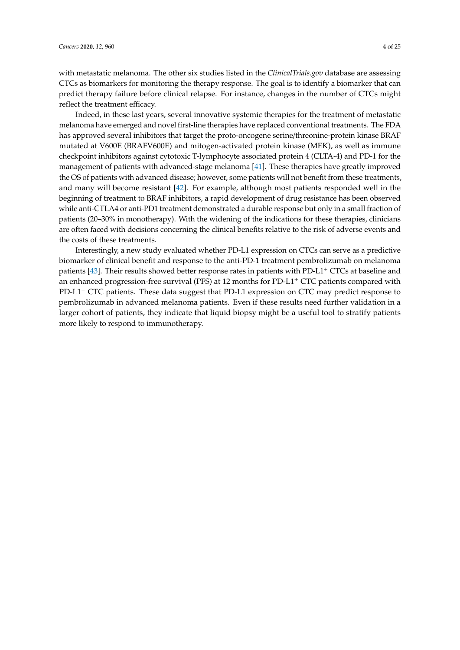with metastatic melanoma. The other six studies listed in the *ClinicalTrials.gov* database are assessing CTCs as biomarkers for monitoring the therapy response. The goal is to identify a biomarker that can predict therapy failure before clinical relapse. For instance, changes in the number of CTCs might reflect the treatment efficacy.

Indeed, in these last years, several innovative systemic therapies for the treatment of metastatic melanoma have emerged and novel first-line therapies have replaced conventional treatments. The FDA has approved several inhibitors that target the proto-oncogene serine/threonine-protein kinase BRAF mutated at V600E (BRAFV600E) and mitogen-activated protein kinase (MEK), as well as immune checkpoint inhibitors against cytotoxic T-lymphocyte associated protein 4 (CLTA-4) and PD-1 for the management of patients with advanced-stage melanoma [41]. These therapies have greatly improved the OS of patients with advanced disease; however, some patients will not benefit from these treatments, and many will become resistant [42]. For example, although most patients responded well in the beginning of treatment to BRAF inhibitors, a rapid development of drug resistance has been observed while anti-CTLA4 or anti-PD1 treatment demonstrated a durable response but only in a small fraction of patients (20–30% in monotherapy). With the widening of the indications for these therapies, clinicians are often faced with decisions concerning the clinical benefits relative to the risk of adverse events and the costs of these treatments.

Interestingly, a new study evaluated whether PD-L1 expression on CTCs can serve as a predictive biomarker of clinical benefit and response to the anti-PD-1 treatment pembrolizumab on melanoma patients [43]. Their results showed better response rates in patients with PD-L1<sup>+</sup> CTCs at baseline and an enhanced progression-free survival (PFS) at 12 months for PD-L1<sup>+</sup> CTC patients compared with PD-L1<sup>−</sup> CTC patients. These data suggest that PD-L1 expression on CTC may predict response to pembrolizumab in advanced melanoma patients. Even if these results need further validation in a larger cohort of patients, they indicate that liquid biopsy might be a useful tool to stratify patients more likely to respond to immunotherapy.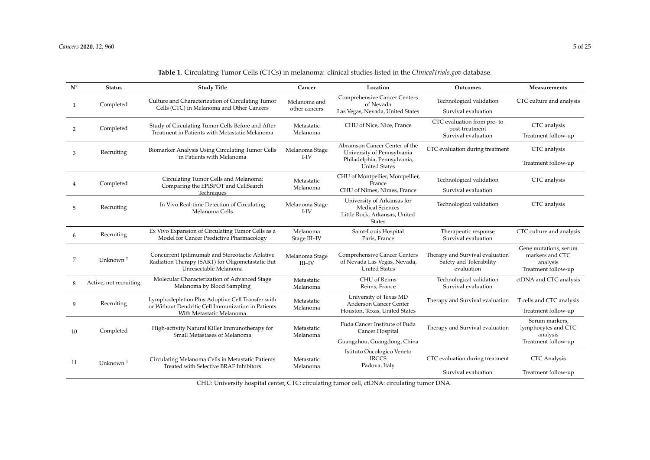| $\mathbf{N}^\circ$ | <b>Status</b>          | <b>Study Title</b>                                                                                                           | Cancer                             | Location                                                                                                | Outcomes                                                                 | Measurements                                                                |
|--------------------|------------------------|------------------------------------------------------------------------------------------------------------------------------|------------------------------------|---------------------------------------------------------------------------------------------------------|--------------------------------------------------------------------------|-----------------------------------------------------------------------------|
| 1                  | Completed              | Culture and Characterization of Circulating Tumor<br>Cells (CTC) in Melanoma and Other Cancers                               | Melanoma and<br>other cancers      | Comprehensive Cancer Centers<br>of Nevada<br>Las Vegas, Nevada, United States                           | Technological validation<br>Survival evaluation                          | CTC culture and analysis                                                    |
| $\overline{2}$     | Completed              | Study of Circulating Tumor Cells Before and After<br>Treatment in Patients with Metastatic Melanoma                          | Metastatic<br>Melanoma             | CHU of Nice, Nice, France                                                                               | CTC evaluation from pre- to<br>post-treatment<br>Survival evaluation     | CTC analysis<br>Treatment follow-up                                         |
| 3                  | Recruiting             | Biomarker Analysis Using Circulating Tumor Cells<br>in Patients with Melanoma                                                | Melanoma Stage<br>I-IV             | Abramson Cancer Center of the<br>University of Pennsylvania<br>Philadelphia, Pennsylvania,              | CTC evaluation during treatment                                          | CTC analysis                                                                |
|                    |                        |                                                                                                                              |                                    | <b>United States</b>                                                                                    |                                                                          | Treatment follow-up                                                         |
| $\overline{4}$     | Completed              | Circulating Tumor Cells and Melanoma:<br>Comparing the EPISPOT and CellSearch<br>Techniques                                  | Metastatic<br>Melanoma             | CHU of Montpellier, Montpellier,<br>France                                                              | Technological validation                                                 | CTC analysis                                                                |
|                    |                        |                                                                                                                              |                                    | CHU of Nîmes, Nîmes, France                                                                             | Survival evaluation                                                      |                                                                             |
| 5                  | Recruiting             | In Vivo Real-time Detection of Circulating<br>Melanoma Cells                                                                 | Melanoma Stage<br>$I-IV$           | University of Arkansas for<br><b>Medical Sciences</b><br>Little Rock, Arkansas, United<br><b>States</b> | Technological validation                                                 | CTC analysis                                                                |
| 6                  | Recruiting             | Ex Vivo Expansion of Circulating Tumor Cells as a<br>Model for Cancer Predictive Pharmacology                                | Melanoma<br>Stage III-IV           | Saint-Louis Hospital<br>Paris, France                                                                   | Therapeutic response<br>Survival evaluation                              | CTC culture and analysis                                                    |
| 7                  | Unknown <sup>+</sup>   | Concurrent Ipilimumab and Stereotactic Ablative<br>Radiation Therapy (SART) for Oligometastatic But<br>Unresectable Melanoma | Melanoma Stage<br>III-IV           | Comprehensive Cancer Centers<br>of Nevada Las Vegas, Nevada,<br><b>United States</b>                    | Therapy and Survival evaluation<br>Safety and Tolerability<br>evaluation | Gene mutations, serum<br>markers and CTC<br>analysis<br>Treatment follow-up |
| 8                  | Active, not recruiting | Molecular Characterization of Advanced Stage<br>Melanoma by Blood Sampling                                                   | Metastatic<br>Melanoma             | CHU of Reims<br>Reims, France                                                                           | Technological validation<br>Survival evaluation                          | ctDNA and CTC analysis                                                      |
| 9                  | Recruiting             | Lymphodepletion Plus Adoptive Cell Transfer with<br>or Without Dendritic Cell Immunization in Patients                       | Metastatic<br>Melanoma             | University of Texas MD<br>Anderson Cancer Center                                                        | Therapy and Survival evaluation                                          | T cells and CTC analysis                                                    |
|                    |                        | With Metastatic Melanoma                                                                                                     |                                    | Houston, Texas, United States                                                                           |                                                                          | Treatment follow-up                                                         |
| 10                 | Completed              | High-activity Natural Killer Immunotherapy for<br>Small Metastases of Melanoma                                               | Metastatic<br>Melanoma             | Fuda Cancer Institute of Fuda<br>Cancer Hospital                                                        | Therapy and Survival evaluation                                          | Serum markers,<br>lymphocytes and CTC<br>analysis                           |
|                    |                        |                                                                                                                              |                                    | Guangzhou, Guangdong, China                                                                             |                                                                          | Treatment follow-up                                                         |
| 11                 | Unknown <sup>+</sup>   | Circulating Melanoma Cells in Metastatic Patients<br>Treated with Selective BRAF Inhibitors                                  | Metastatic<br>Melanoma             | Istituto Oncologico Veneto<br><b>IRCCS</b><br>Padova, Italy                                             | CTC evaluation during treatment                                          | <b>CTC</b> Analysis                                                         |
|                    |                        | $\alpha$                                                                                                                     | $\sim$ $\sim$ $\sim$ $\sim$ $\sim$ | $\mathbf{r}$<br>$\mathbf{r}$                                                                            | Survival evaluation<br>$\mathbf{r}$                                      | Treatment follow-up                                                         |

CHU: University hospital center, CTC: circulating tumor cell, ctDNA: circulating tumor DNA.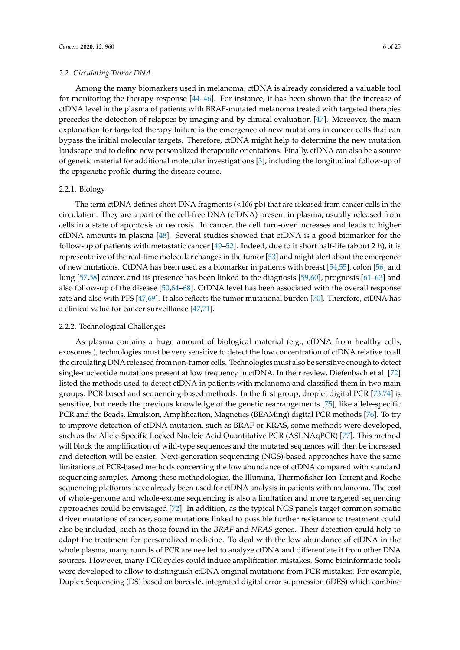#### *2.2. Circulating Tumor DNA*

Among the many biomarkers used in melanoma, ctDNA is already considered a valuable tool for monitoring the therapy response [44–46]. For instance, it has been shown that the increase of ctDNA level in the plasma of patients with BRAF-mutated melanoma treated with targeted therapies precedes the detection of relapses by imaging and by clinical evaluation [47]. Moreover, the main explanation for targeted therapy failure is the emergence of new mutations in cancer cells that can bypass the initial molecular targets. Therefore, ctDNA might help to determine the new mutation landscape and to define new personalized therapeutic orientations. Finally, ctDNA can also be a source of genetic material for additional molecular investigations [3], including the longitudinal follow-up of the epigenetic profile during the disease course.

#### 2.2.1. Biology

The term ctDNA defines short DNA fragments (<166 pb) that are released from cancer cells in the circulation. They are a part of the cell-free DNA (cfDNA) present in plasma, usually released from cells in a state of apoptosis or necrosis. In cancer, the cell turn-over increases and leads to higher cfDNA amounts in plasma [48]. Several studies showed that ctDNA is a good biomarker for the follow-up of patients with metastatic cancer [49–52]. Indeed, due to it short half-life (about 2 h), it is representative of the real-time molecular changes in the tumor [53] and might alert about the emergence of new mutations. CtDNA has been used as a biomarker in patients with breast [54,55], colon [56] and lung [57,58] cancer, and its presence has been linked to the diagnosis [59,60], prognosis [61–63] and also follow-up of the disease [50,64–68]. CtDNA level has been associated with the overall response rate and also with PFS [47,69]. It also reflects the tumor mutational burden [70]. Therefore, ctDNA has a clinical value for cancer surveillance [47,71].

#### 2.2.2. Technological Challenges

As plasma contains a huge amount of biological material (e.g., cfDNA from healthy cells, exosomes.), technologies must be very sensitive to detect the low concentration of ctDNA relative to all the circulating DNA released from non-tumor cells. Technologies must also be sensitive enough to detect single-nucleotide mutations present at low frequency in ctDNA. In their review, Diefenbach et al. [72] listed the methods used to detect ctDNA in patients with melanoma and classified them in two main groups: PCR-based and sequencing-based methods. In the first group, droplet digital PCR [73,74] is sensitive, but needs the previous knowledge of the genetic rearrangements [75], like allele-specific PCR and the Beads, Emulsion, Amplification, Magnetics (BEAMing) digital PCR methods [76]. To try to improve detection of ctDNA mutation, such as BRAF or KRAS, some methods were developed, such as the Allele-Specific Locked Nucleic Acid Quantitative PCR (ASLNAqPCR) [77]. This method will block the amplification of wild-type sequences and the mutated sequences will then be increased and detection will be easier. Next-generation sequencing (NGS)-based approaches have the same limitations of PCR-based methods concerning the low abundance of ctDNA compared with standard sequencing samples. Among these methodologies, the Illumina, Thermofisher Ion Torrent and Roche sequencing platforms have already been used for ctDNA analysis in patients with melanoma. The cost of whole-genome and whole-exome sequencing is also a limitation and more targeted sequencing approaches could be envisaged [72]. In addition, as the typical NGS panels target common somatic driver mutations of cancer, some mutations linked to possible further resistance to treatment could also be included, such as those found in the *BRAF* and *NRAS* genes. Their detection could help to adapt the treatment for personalized medicine. To deal with the low abundance of ctDNA in the whole plasma, many rounds of PCR are needed to analyze ctDNA and differentiate it from other DNA sources. However, many PCR cycles could induce amplification mistakes. Some bioinformatic tools were developed to allow to distinguish ctDNA original mutations from PCR mistakes. For example, Duplex Sequencing (DS) based on barcode, integrated digital error suppression (iDES) which combine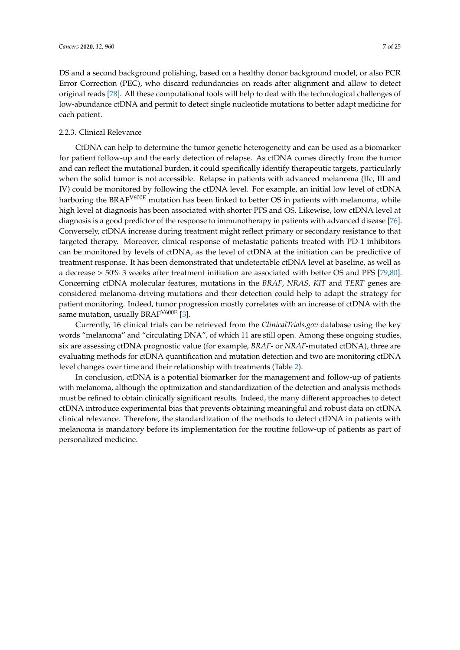DS and a second background polishing, based on a healthy donor background model, or also PCR Error Correction (PEC), who discard redundancies on reads after alignment and allow to detect original reads [78]. All these computational tools will help to deal with the technological challenges of low-abundance ctDNA and permit to detect single nucleotide mutations to better adapt medicine for each patient.

#### 2.2.3. Clinical Relevance

CtDNA can help to determine the tumor genetic heterogeneity and can be used as a biomarker for patient follow-up and the early detection of relapse. As ctDNA comes directly from the tumor and can reflect the mutational burden, it could specifically identify therapeutic targets, particularly when the solid tumor is not accessible. Relapse in patients with advanced melanoma (IIc, III and IV) could be monitored by following the ctDNA level. For example, an initial low level of ctDNA harboring the BRAF<sup>V600E</sup> mutation has been linked to better OS in patients with melanoma, while high level at diagnosis has been associated with shorter PFS and OS. Likewise, low ctDNA level at diagnosis is a good predictor of the response to immunotherapy in patients with advanced disease [76]. Conversely, ctDNA increase during treatment might reflect primary or secondary resistance to that targeted therapy. Moreover, clinical response of metastatic patients treated with PD-1 inhibitors can be monitored by levels of ctDNA, as the level of ctDNA at the initiation can be predictive of treatment response. It has been demonstrated that undetectable ctDNA level at baseline, as well as a decrease > 50% 3 weeks after treatment initiation are associated with better OS and PFS [79,80]. Concerning ctDNA molecular features, mutations in the *BRAF*, *NRAS*, *KIT* and *TERT* genes are considered melanoma-driving mutations and their detection could help to adapt the strategy for patient monitoring. Indeed, tumor progression mostly correlates with an increase of ctDNA with the same mutation, usually BRAF<sup>V600E</sup> [3].

Currently, 16 clinical trials can be retrieved from the *ClinicalTrials.gov* database using the key words "melanoma" and "circulating DNA", of which 11 are still open. Among these ongoing studies, six are assessing ctDNA prognostic value (for example, *BRAF*- or *NRAF*-mutated ctDNA), three are evaluating methods for ctDNA quantification and mutation detection and two are monitoring ctDNA level changes over time and their relationship with treatments (Table 2).

In conclusion, ctDNA is a potential biomarker for the management and follow-up of patients with melanoma, although the optimization and standardization of the detection and analysis methods must be refined to obtain clinically significant results. Indeed, the many different approaches to detect ctDNA introduce experimental bias that prevents obtaining meaningful and robust data on ctDNA clinical relevance. Therefore, the standardization of the methods to detect ctDNA in patients with melanoma is mandatory before its implementation for the routine follow-up of patients as part of personalized medicine.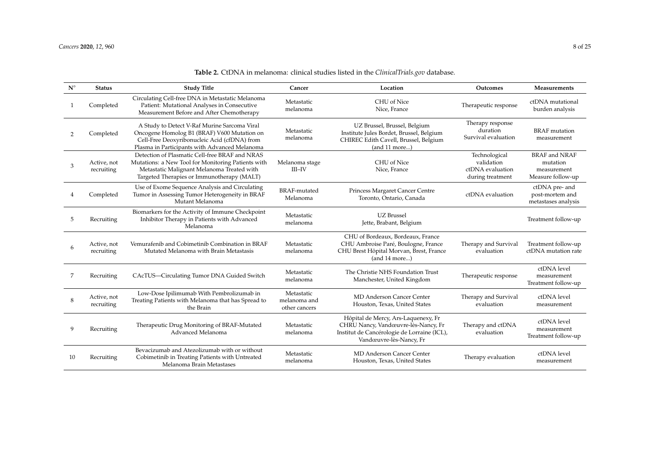| $N^{\circ}$ | <b>Status</b>             | <b>Study Title</b>                                                                                                                                                                               | Cancer                                      | Location                                                                                                                                             | Outcomes                                                            | Measurements                                                         |
|-------------|---------------------------|--------------------------------------------------------------------------------------------------------------------------------------------------------------------------------------------------|---------------------------------------------|------------------------------------------------------------------------------------------------------------------------------------------------------|---------------------------------------------------------------------|----------------------------------------------------------------------|
|             | Completed                 | Circulating Cell-free DNA in Metastatic Melanoma<br>Patient: Mutational Analyses in Consecutive<br>Measurement Before and After Chemotherapy                                                     | Metastatic<br>melanoma                      | CHU of Nice<br>Nice, France                                                                                                                          | Therapeutic response                                                | ctDNA mutational<br>burden analysis                                  |
| 2           | Completed                 | A Study to Detect V-Raf Murine Sarcoma Viral<br>Oncogene Homolog B1 (BRAF) V600 Mutation on<br>Cell-Free Deoxyribonucleic Acid (cfDNA) from<br>Plasma in Participants with Advanced Melanoma     | Metastatic<br>melanoma                      | UZ Brussel, Brussel, Belgium<br>Institute Jules Bordet, Brussel, Belgium<br>CHIREC Edith Cavell, Brussel, Belgium<br>(and 11 more)                   | Therapy response<br>duration<br>Survival evaluation                 | <b>BRAF</b> mutation<br>measurement                                  |
| 3           | Active, not<br>recruiting | Detection of Plasmatic Cell-free BRAF and NRAS<br>Mutations: a New Tool for Monitoring Patients with<br>Metastatic Malignant Melanoma Treated with<br>Targeted Therapies or Immunotherapy (MALT) | Melanoma stage<br>$III$ -IV                 | CHU of Nice<br>Nice, France                                                                                                                          | Technological<br>validation<br>ctDNA evaluation<br>during treatment | <b>BRAF</b> and NRAF<br>mutation<br>measurement<br>Measure follow-up |
|             | Completed                 | Use of Exome Sequence Analysis and Circulating<br>Tumor in Assessing Tumor Heterogeneity in BRAF<br>Mutant Melanoma                                                                              | <b>BRAF-mutated</b><br>Melanoma             | Princess Margaret Cancer Centre<br>Toronto, Ontario, Canada                                                                                          | ctDNA evaluation                                                    | ctDNA pre- and<br>post-mortem and<br>metastases analysis             |
| 5           | Recruiting                | Biomarkers for the Activity of Immune Checkpoint<br>Inhibitor Therapy in Patients with Advanced<br>Melanoma                                                                                      | Metastatic<br>melanoma                      | <b>UZ</b> Brussel<br>Jette, Brabant, Belgium                                                                                                         |                                                                     | Treatment follow-up                                                  |
| 6           | Active, not<br>recruiting | Vemurafenib and Cobimetinib Combination in BRAF<br>Mutated Melanoma with Brain Metastasis                                                                                                        | Metastatic<br>melanoma                      | CHU of Bordeaux, Bordeaux, France<br>CHU Ambroise Paré, Boulogne, France<br>CHU Brest Hôpital Morvan, Brest, France<br>(and 14 more)                 | Therapy and Survival<br>evaluation                                  | Treatment follow-up<br>ctDNA mutation rate                           |
| 7           | Recruiting                | CAcTUS-Circulating Tumor DNA Guided Switch                                                                                                                                                       | Metastatic<br>melanoma                      | The Christie NHS Foundation Trust<br>Manchester, United Kingdom                                                                                      | Therapeutic response                                                | ctDNA level<br>measurement<br>Treatment follow-up                    |
| 8           | Active, not<br>recruiting | Low-Dose Ipilimumab With Pembrolizumab in<br>Treating Patients with Melanoma that has Spread to<br>the Brain                                                                                     | Metastatic<br>melanoma and<br>other cancers | MD Anderson Cancer Center<br>Houston, Texas, United States                                                                                           | Therapy and Survival<br>evaluation                                  | ctDNA level<br>measurement                                           |
| 9           | Recruiting                | Therapeutic Drug Monitoring of BRAF-Mutated<br>Advanced Melanoma                                                                                                                                 | Metastatic<br>melanoma                      | Hôpital de Mercy, Ars-Laquenexy, Fr<br>CHRU Nancy, Vandœuvre-lès-Nancy, Fr<br>Institut de Cancérologie de Lorraine (ICL),<br>Vandœuvre-lès-Nancy, Fr | Therapy and ctDNA<br>evaluation                                     | ctDNA level<br>measurement<br>Treatment follow-up                    |
| 10          | Recruiting                | Bevacizumab and Atezolizumab with or without<br>Cobimetinib in Treating Patients with Untreated<br>Melanoma Brain Metastases                                                                     | Metastatic<br>melanoma                      | <b>MD Anderson Cancer Center</b><br>Houston, Texas, United States                                                                                    | Therapy evaluation                                                  | ctDNA level<br>measurement                                           |

**Table 2.** CtDNA in melanoma: clinical studies listed in the *ClinicalTrials.gov* database.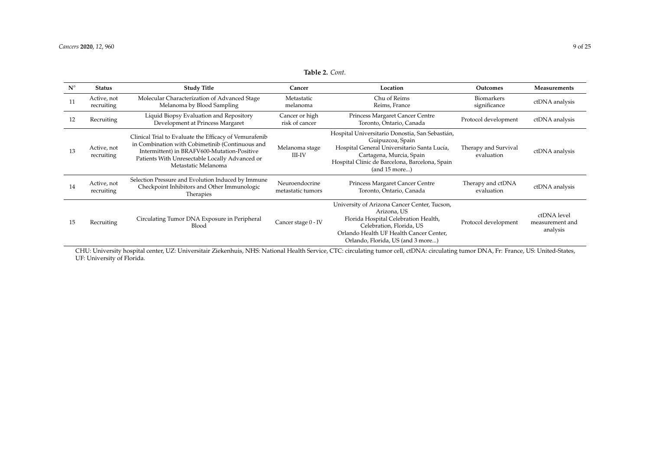| $N^{\circ}$ | <b>Status</b>             | <b>Study Title</b>                                                                                                                                                                                                                | Cancer                              | Location                                                                                                                                                                                                          | Outcomes                           | <b>Measurements</b>                        |
|-------------|---------------------------|-----------------------------------------------------------------------------------------------------------------------------------------------------------------------------------------------------------------------------------|-------------------------------------|-------------------------------------------------------------------------------------------------------------------------------------------------------------------------------------------------------------------|------------------------------------|--------------------------------------------|
| 11          | Active, not<br>recruiting | Molecular Characterization of Advanced Stage<br>Melanoma by Blood Sampling                                                                                                                                                        | Metastatic<br>melanoma              | Chu of Reims<br>Reims, France                                                                                                                                                                                     | <b>Biomarkers</b><br>significance  | ctDNA analysis                             |
| 12          | Recruiting                | Liquid Biopsy Evaluation and Repository<br>Development at Princess Margaret                                                                                                                                                       | Cancer or high<br>risk of cancer    | Princess Margaret Cancer Centre<br>Toronto, Ontario, Canada                                                                                                                                                       | Protocol development               | ctDNA analysis                             |
| 13          | Active, not<br>recruiting | Clinical Trial to Evaluate the Efficacy of Vemurafenib<br>in Combination with Cobimetinib (Continuous and<br>Intermittent) in BRAFV600-Mutation-Positive<br>Patients With Unresectable Locally Advanced or<br>Metastatic Melanoma | Melanoma stage<br>$III$ - $IV$      | Hospital Universitario Donostia, San Sebastián,<br>Guipuzcoa, Spain<br>Hospital General Universitario Santa Lucía,<br>Cartagena, Murcia, Spain<br>Hospital Clínic de Barcelona, Barcelona, Spain<br>(and 15 more) | Therapy and Survival<br>evaluation | ctDNA analysis                             |
| 14          | Active, not<br>recruiting | Selection Pressure and Evolution Induced by Immune<br>Checkpoint Inhibitors and Other Immunologic<br>Therapies                                                                                                                    | Neuroendocrine<br>metastatic tumors | Princess Margaret Cancer Centre<br>Toronto, Ontario, Canada                                                                                                                                                       | Therapy and ctDNA<br>evaluation    | ctDNA analysis                             |
| 15          | Recruiting                | Circulating Tumor DNA Exposure in Peripheral<br><b>Blood</b>                                                                                                                                                                      | Cancer stage 0 - IV                 | University of Arizona Cancer Center, Tucson,<br>Arizona, US<br>Florida Hospital Celebration Health,<br>Celebration, Florida, US<br>Orlando Health UF Health Cancer Center,<br>Orlando, Florida, US (and 3 more)   | Protocol development               | ctDNA level<br>measurement and<br>analysis |

**Table 2.** *Cont.*

CHU: University hospital center, UZ: Universitair Ziekenhuis, NHS: National Health Service, CTC: circulating tumor cell, ctDNA: circulating tumor DNA, Fr: France, US: United-States, UF: University of Florida.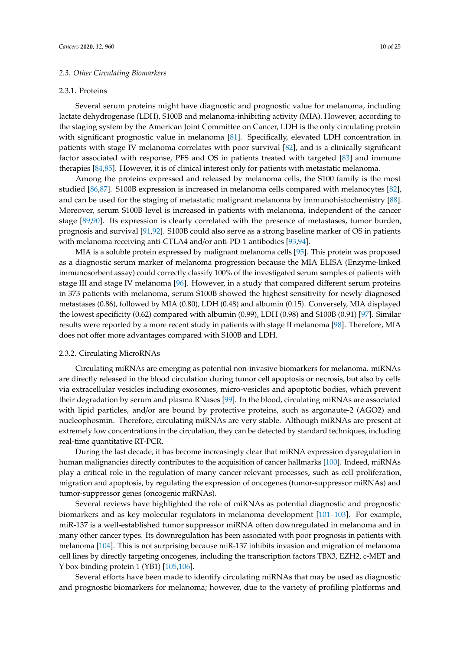#### *2.3. Other Circulating Biomarkers*

#### 2.3.1. Proteins

Several serum proteins might have diagnostic and prognostic value for melanoma, including lactate dehydrogenase (LDH), S100B and melanoma-inhibiting activity (MIA). However, according to the staging system by the American Joint Committee on Cancer, LDH is the only circulating protein with significant prognostic value in melanoma [81]. Specifically, elevated LDH concentration in patients with stage IV melanoma correlates with poor survival [82], and is a clinically significant factor associated with response, PFS and OS in patients treated with targeted [83] and immune therapies [84,85]. However, it is of clinical interest only for patients with metastatic melanoma.

Among the proteins expressed and released by melanoma cells, the S100 family is the most studied [86,87]. S100B expression is increased in melanoma cells compared with melanocytes [82], and can be used for the staging of metastatic malignant melanoma by immunohistochemistry [88]. Moreover, serum S100B level is increased in patients with melanoma, independent of the cancer stage [89,90]. Its expression is clearly correlated with the presence of metastases, tumor burden, prognosis and survival [91,92]. S100B could also serve as a strong baseline marker of OS in patients with melanoma receiving anti-CTLA4 and/or anti-PD-1 antibodies [93,94].

MIA is a soluble protein expressed by malignant melanoma cells [95]. This protein was proposed as a diagnostic serum marker of melanoma progression because the MIA ELISA (Enzyme-linked immunosorbent assay) could correctly classify 100% of the investigated serum samples of patients with stage III and stage IV melanoma [96]. However, in a study that compared different serum proteins in 373 patients with melanoma, serum S100B showed the highest sensitivity for newly diagnosed metastases (0.86), followed by MIA (0.80), LDH (0.48) and albumin (0.15). Conversely, MIA displayed the lowest specificity (0.62) compared with albumin (0.99), LDH (0.98) and S100B (0.91) [97]. Similar results were reported by a more recent study in patients with stage II melanoma [98]. Therefore, MIA does not offer more advantages compared with S100B and LDH.

#### 2.3.2. Circulating MicroRNAs

Circulating miRNAs are emerging as potential non-invasive biomarkers for melanoma. miRNAs are directly released in the blood circulation during tumor cell apoptosis or necrosis, but also by cells via extracellular vesicles including exosomes, micro-vesicles and apoptotic bodies, which prevent their degradation by serum and plasma RNases [99]. In the blood, circulating miRNAs are associated with lipid particles, and/or are bound by protective proteins, such as argonaute-2 (AGO2) and nucleophosmin. Therefore, circulating miRNAs are very stable. Although miRNAs are present at extremely low concentrations in the circulation, they can be detected by standard techniques, including real-time quantitative RT-PCR.

During the last decade, it has become increasingly clear that miRNA expression dysregulation in human malignancies directly contributes to the acquisition of cancer hallmarks [100]. Indeed, miRNAs play a critical role in the regulation of many cancer-relevant processes, such as cell proliferation, migration and apoptosis, by regulating the expression of oncogenes (tumor-suppressor miRNAs) and tumor-suppressor genes (oncogenic miRNAs).

Several reviews have highlighted the role of miRNAs as potential diagnostic and prognostic biomarkers and as key molecular regulators in melanoma development [101–103]. For example, miR-137 is a well-established tumor suppressor miRNA often downregulated in melanoma and in many other cancer types. Its downregulation has been associated with poor prognosis in patients with melanoma [104]. This is not surprising because miR-137 inhibits invasion and migration of melanoma cell lines by directly targeting oncogenes, including the transcription factors TBX3, EZH2, c-MET and Y box-binding protein 1 (YB1) [105,106].

Several efforts have been made to identify circulating miRNAs that may be used as diagnostic and prognostic biomarkers for melanoma; however, due to the variety of profiling platforms and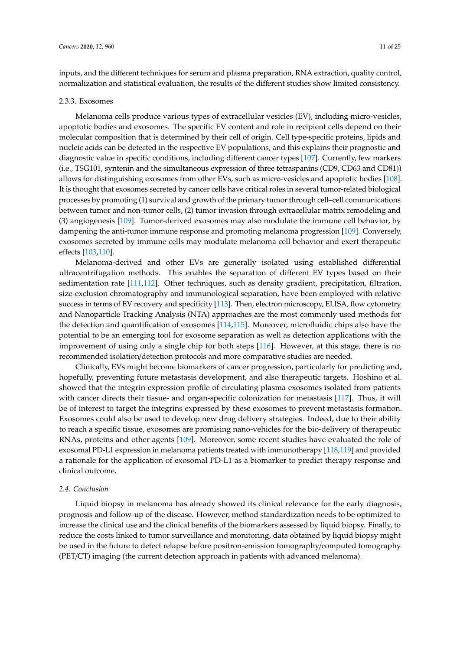inputs, and the different techniques for serum and plasma preparation, RNA extraction, quality control, normalization and statistical evaluation, the results of the different studies show limited consistency.

#### 2.3.3. Exosomes

Melanoma cells produce various types of extracellular vesicles (EV), including micro-vesicles, apoptotic bodies and exosomes. The specific EV content and role in recipient cells depend on their molecular composition that is determined by their cell of origin. Cell type-specific proteins, lipids and nucleic acids can be detected in the respective EV populations, and this explains their prognostic and diagnostic value in specific conditions, including different cancer types [107]. Currently, few markers (i.e., TSG101, syntenin and the simultaneous expression of three tetraspanins (CD9, CD63 and CD81)) allows for distinguishing exosomes from other EVs, such as micro-vesicles and apoptotic bodies [108]. It is thought that exosomes secreted by cancer cells have critical roles in several tumor-related biological processes by promoting (1) survival and growth of the primary tumor through cell–cell communications between tumor and non-tumor cells, (2) tumor invasion through extracellular matrix remodeling and (3) angiogenesis [109]. Tumor-derived exosomes may also modulate the immune cell behavior, by dampening the anti-tumor immune response and promoting melanoma progression [109]. Conversely, exosomes secreted by immune cells may modulate melanoma cell behavior and exert therapeutic effects [103,110].

Melanoma-derived and other EVs are generally isolated using established differential ultracentrifugation methods. This enables the separation of different EV types based on their sedimentation rate [111,112]. Other techniques, such as density gradient, precipitation, filtration, size-exclusion chromatography and immunological separation, have been employed with relative success in terms of EV recovery and specificity [113]. Then, electron microscopy, ELISA, flow cytometry and Nanoparticle Tracking Analysis (NTA) approaches are the most commonly used methods for the detection and quantification of exosomes [114,115]. Moreover, microfluidic chips also have the potential to be an emerging tool for exosome separation as well as detection applications with the improvement of using only a single chip for both steps [116]. However, at this stage, there is no recommended isolation/detection protocols and more comparative studies are needed.

Clinically, EVs might become biomarkers of cancer progression, particularly for predicting and, hopefully, preventing future metastasis development, and also therapeutic targets. Hoshino et al. showed that the integrin expression profile of circulating plasma exosomes isolated from patients with cancer directs their tissue- and organ-specific colonization for metastasis [117]. Thus, it will be of interest to target the integrins expressed by these exosomes to prevent metastasis formation. Exosomes could also be used to develop new drug delivery strategies. Indeed, due to their ability to reach a specific tissue, exosomes are promising nano-vehicles for the bio-delivery of therapeutic RNAs, proteins and other agents [109]. Moreover, some recent studies have evaluated the role of exosomal PD-L1 expression in melanoma patients treated with immunotherapy [118,119] and provided a rationale for the application of exosomal PD-L1 as a biomarker to predict therapy response and clinical outcome.

#### *2.4. Conclusion*

Liquid biopsy in melanoma has already showed its clinical relevance for the early diagnosis, prognosis and follow-up of the disease. However, method standardization needs to be optimized to increase the clinical use and the clinical benefits of the biomarkers assessed by liquid biopsy. Finally, to reduce the costs linked to tumor surveillance and monitoring, data obtained by liquid biopsy might be used in the future to detect relapse before positron-emission tomography/computed tomography (PET/CT) imaging (the current detection approach in patients with advanced melanoma).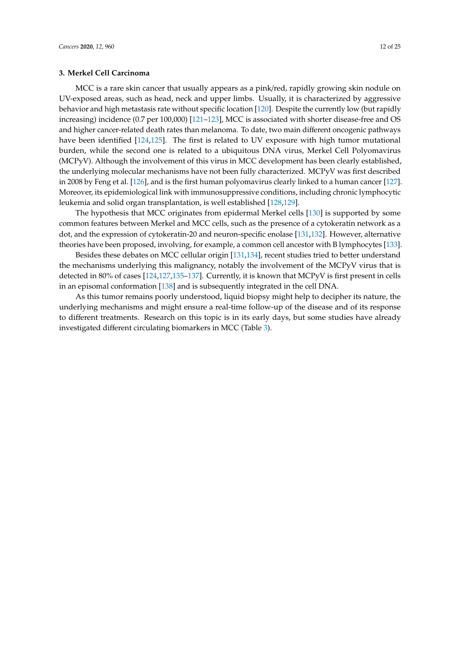#### **3. Merkel Cell Carcinoma**

MCC is a rare skin cancer that usually appears as a pink/red, rapidly growing skin nodule on UV-exposed areas, such as head, neck and upper limbs. Usually, it is characterized by aggressive behavior and high metastasis rate without specific location [120]. Despite the currently low (but rapidly increasing) incidence (0.7 per 100,000) [121–123], MCC is associated with shorter disease-free and OS and higher cancer-related death rates than melanoma. To date, two main different oncogenic pathways have been identified [124,125]. The first is related to UV exposure with high tumor mutational burden, while the second one is related to a ubiquitous DNA virus, Merkel Cell Polyomavirus (MCPyV). Although the involvement of this virus in MCC development has been clearly established, the underlying molecular mechanisms have not been fully characterized. MCPyV was first described in 2008 by Feng et al. [126], and is the first human polyomavirus clearly linked to a human cancer [127]. Moreover, its epidemiological link with immunosuppressive conditions, including chronic lymphocytic leukemia and solid organ transplantation, is well established [128,129].

The hypothesis that MCC originates from epidermal Merkel cells [130] is supported by some common features between Merkel and MCC cells, such as the presence of a cytokeratin network as a dot, and the expression of cytokeratin-20 and neuron-specific enolase [131,132]. However, alternative theories have been proposed, involving, for example, a common cell ancestor with B lymphocytes [133].

Besides these debates on MCC cellular origin [131,134], recent studies tried to better understand the mechanisms underlying this malignancy, notably the involvement of the MCPyV virus that is detected in 80% of cases [124,127,135–137]. Currently, it is known that MCPyV is first present in cells in an episomal conformation [138] and is subsequently integrated in the cell DNA.

As this tumor remains poorly understood, liquid biopsy might help to decipher its nature, the underlying mechanisms and might ensure a real-time follow-up of the disease and of its response to different treatments. Research on this topic is in its early days, but some studies have already investigated different circulating biomarkers in MCC (Table 3).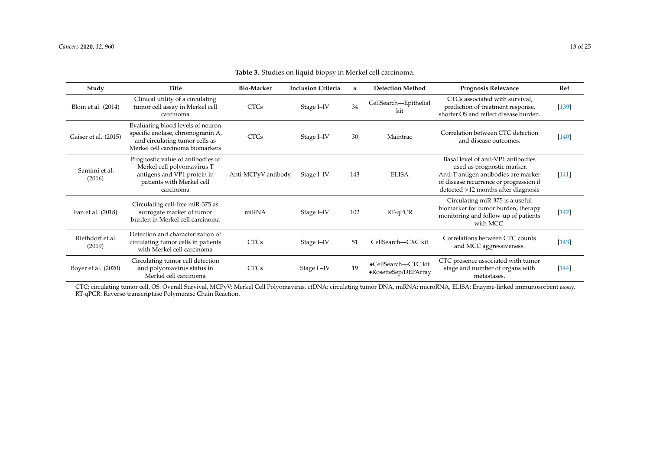| Study                      | Title                                                                                                                                        | <b>Bio-Marker</b>   | <b>Inclusion Criteria</b> | n   | <b>Detection Method</b>                     | <b>Prognosis Relevance</b>                                                                                                                                                                 | Ref     |
|----------------------------|----------------------------------------------------------------------------------------------------------------------------------------------|---------------------|---------------------------|-----|---------------------------------------------|--------------------------------------------------------------------------------------------------------------------------------------------------------------------------------------------|---------|
| Blom et al. (2014)         | Clinical utility of a circulating<br>tumor cell assay in Merkel cell<br>carcinoma                                                            | <b>CTCs</b>         | Stage I-IV                | 34  | CellSearch-Epithelial<br>kit                | CTCs associated with survival,<br>prediction of treatment response,<br>shorter OS and reflect disease burden.                                                                              | $[139]$ |
| Gaiser et al. (2015)       | Evaluating blood levels of neuron<br>specific enolase, chromogranin A,<br>and circulating tumor cells as<br>Merkel cell carcinoma biomarkers | <b>CTCs</b>         | Stage I-IV                | 30  | Maintrac                                    | Correlation between CTC detection<br>and disease outcomes.                                                                                                                                 | $[140]$ |
| Samimi et al.<br>(2016)    | Prognostic value of antibodies to<br>Merkel cell polyomavirus T<br>antigens and VP1 protein in<br>patients with Merkel cell<br>carcinoma     | Anti-MCPyV-antibody | Stage I-IV                | 143 | <b>ELISA</b>                                | Basal level of anti-VP1 antibodies<br>used as prognostic marker.<br>Anti-T-antigen antibodies are marker<br>of disease recurrence or progression if<br>detected >12 months after diagnosis | $[141]$ |
| Fan et al. (2018)          | Circulating cell-free miR-375 as<br>surrogate marker of tumor<br>burden in Merkel cell carcinoma                                             | miRNA               | Stage I-IV                | 102 | RT-qPCR                                     | Circulating miR-375 is a useful<br>biomarker for tumor burden, therapy<br>monitoring and follow-up of patients<br>with MCC.                                                                | $[142]$ |
| Riethdorf et al.<br>(2019) | Detection and characterization of<br>circulating tumor cells in patients<br>with Merkel cell carcinoma                                       | <b>CTCs</b>         | Stage I-IV                | 51  | CellSearch-CXC kit                          | Correlations between CTC counts<br>and MCC aggressiveness.                                                                                                                                 | $[143]$ |
| Boyer et al. (2020)        | Circulating tumor cell detection<br>and polyomavirus status in<br>Merkel cell carcinoma                                                      | <b>CTCs</b>         | Stage I-IV                | 19  | •CellSearch-CTC kit<br>•RosetteSep/DEPArray | CTC presence associated with tumor<br>stage and number of organs with<br>metastases.                                                                                                       | $[144]$ |

**Table 3.** Studies on liquid biopsy in Merkel cell carcinoma.

CTC: circulating tumor cell, OS: Overall Survival, MCPyV: Merkel Cell Polyomavirus, ctDNA: circulating tumor DNA, miRNA: microRNA, ELISA: Enzyme-linked immunosorbent assay, RT-qPCR: Reverse-transcriptase Polymerase Chain Reaction.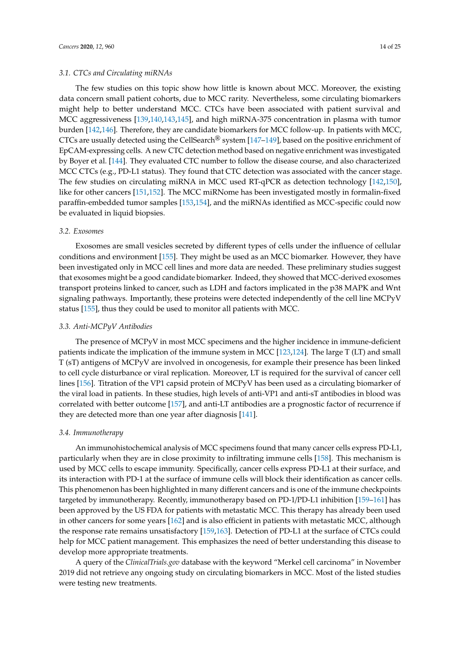#### *3.1. CTCs and Circulating miRNAs*

The few studies on this topic show how little is known about MCC. Moreover, the existing data concern small patient cohorts, due to MCC rarity. Nevertheless, some circulating biomarkers might help to better understand MCC. CTCs have been associated with patient survival and MCC aggressiveness [139,140,143,145], and high miRNA-375 concentration in plasma with tumor burden [142,146]. Therefore, they are candidate biomarkers for MCC follow-up. In patients with MCC, CTCs are usually detected using the CellSearch<sup>®</sup> system [147–149], based on the positive enrichment of EpCAM-expressing cells. A new CTC detection method based on negative enrichment was investigated by Boyer et al. [144]. They evaluated CTC number to follow the disease course, and also characterized MCC CTCs (e.g., PD-L1 status). They found that CTC detection was associated with the cancer stage. The few studies on circulating miRNA in MCC used RT-qPCR as detection technology [142,150], like for other cancers [151,152]. The MCC miRNome has been investigated mostly in formalin-fixed paraffin-embedded tumor samples [153,154], and the miRNAs identified as MCC-specific could now be evaluated in liquid biopsies.

#### *3.2. Exosomes*

Exosomes are small vesicles secreted by different types of cells under the influence of cellular conditions and environment [155]. They might be used as an MCC biomarker. However, they have been investigated only in MCC cell lines and more data are needed. These preliminary studies suggest that exosomes might be a good candidate biomarker. Indeed, they showed that MCC-derived exosomes transport proteins linked to cancer, such as LDH and factors implicated in the p38 MAPK and Wnt signaling pathways. Importantly, these proteins were detected independently of the cell line MCPyV status [155], thus they could be used to monitor all patients with MCC.

#### *3.3. Anti-MCPyV Antibodies*

The presence of MCPyV in most MCC specimens and the higher incidence in immune-deficient patients indicate the implication of the immune system in MCC [123,124]. The large T (LT) and small T (sT) antigens of MCPyV are involved in oncogenesis, for example their presence has been linked to cell cycle disturbance or viral replication. Moreover, LT is required for the survival of cancer cell lines [156]. Titration of the VP1 capsid protein of MCPyV has been used as a circulating biomarker of the viral load in patients. In these studies, high levels of anti-VP1 and anti-sT antibodies in blood was correlated with better outcome [157], and anti-LT antibodies are a prognostic factor of recurrence if they are detected more than one year after diagnosis [141].

#### *3.4. Immunotherapy*

An immunohistochemical analysis of MCC specimens found that many cancer cells express PD-L1, particularly when they are in close proximity to infiltrating immune cells [158]. This mechanism is used by MCC cells to escape immunity. Specifically, cancer cells express PD-L1 at their surface, and its interaction with PD-1 at the surface of immune cells will block their identification as cancer cells. This phenomenon has been highlighted in many different cancers and is one of the immune checkpoints targeted by immunotherapy. Recently, immunotherapy based on PD-1/PD-L1 inhibition [159–161] has been approved by the US FDA for patients with metastatic MCC. This therapy has already been used in other cancers for some years [162] and is also efficient in patients with metastatic MCC, although the response rate remains unsatisfactory [159,163]. Detection of PD-L1 at the surface of CTCs could help for MCC patient management. This emphasizes the need of better understanding this disease to develop more appropriate treatments.

A query of the *ClinicalTrials.gov* database with the keyword "Merkel cell carcinoma" in November 2019 did not retrieve any ongoing study on circulating biomarkers in MCC. Most of the listed studies were testing new treatments.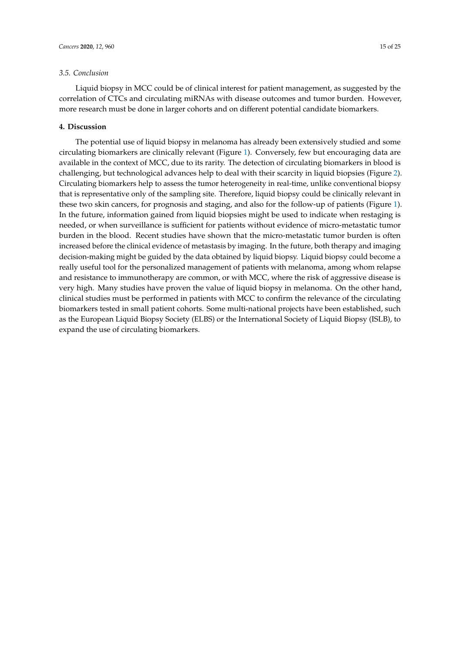#### *3.5. Conclusion*

Liquid biopsy in MCC could be of clinical interest for patient management, as suggested by the correlation of CTCs and circulating miRNAs with disease outcomes and tumor burden. However, more research must be done in larger cohorts and on different potential candidate biomarkers.

#### **4. Discussion**

The potential use of liquid biopsy in melanoma has already been extensively studied and some circulating biomarkers are clinically relevant (Figure 1). Conversely, few but encouraging data are available in the context of MCC, due to its rarity. The detection of circulating biomarkers in blood is challenging, but technological advances help to deal with their scarcity in liquid biopsies (Figure 2). Circulating biomarkers help to assess the tumor heterogeneity in real-time, unlike conventional biopsy that is representative only of the sampling site. Therefore, liquid biopsy could be clinically relevant in these two skin cancers, for prognosis and staging, and also for the follow-up of patients (Figure 1). In the future, information gained from liquid biopsies might be used to indicate when restaging is needed, or when surveillance is sufficient for patients without evidence of micro-metastatic tumor burden in the blood. Recent studies have shown that the micro-metastatic tumor burden is often increased before the clinical evidence of metastasis by imaging. In the future, both therapy and imaging decision-making might be guided by the data obtained by liquid biopsy. Liquid biopsy could become a really useful tool for the personalized management of patients with melanoma, among whom relapse and resistance to immunotherapy are common, or with MCC, where the risk of aggressive disease is very high. Many studies have proven the value of liquid biopsy in melanoma. On the other hand, clinical studies must be performed in patients with MCC to confirm the relevance of the circulating biomarkers tested in small patient cohorts. Some multi-national projects have been established, such as the European Liquid Biopsy Society (ELBS) or the International Society of Liquid Biopsy (ISLB), to expand the use of circulating biomarkers.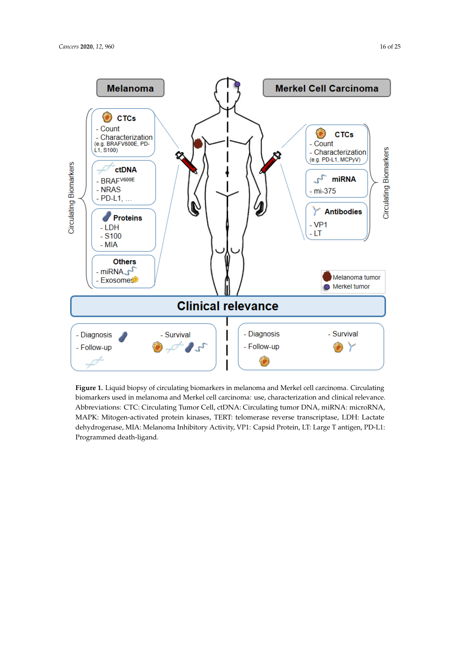

biomarkers used in melanoma and Merkel cell carcinoma: use, characterization and clinical relevance. Abbreviations: CTC: Circulating Tumor Cell, ctDNA: Circulating tumor DNA, miRNA: microRNA, MAPK: Mitogen-activated protein kinases, TERT: telomerase reverse transcriptase, LDH: Lactate dehydrogenase, MIA: Melanoma Inhibitory Activity, VP1: Capsid Protein, LT: Large T antigen, PD-L1: Programmed death-ligand. **Figure 1.** Liquid biopsy of circulating biomarkers in melanoma and Merkel cell carcinoma. Circulating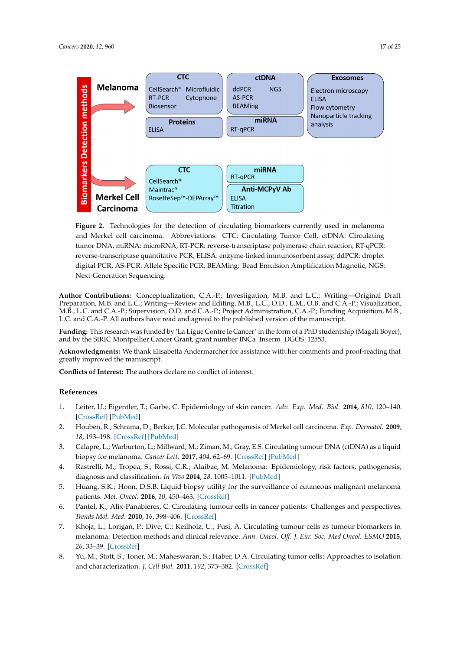



**Figure 2.** Technologies for the detection of circulating biomarkers currently used in melanoma and Merkel cell carcinoma. Abbreviations: CTC: Circulating Tumor Cell, ctDNA: Circulating tumor DNA, miRNA: microRNA, RT-PCR: reverse-transcriptase polymerase chain reaction, RT-qPCR: reverse-transcriptase quantitative PCR, ELISA: enzyme-linked immunosorbent assay, ddPCR: droplet digital PCR, AS-PCR: Allele Specific PCR, BEAMing: Bead Emulsion Amplification Magnetic, NGS: Next-Generation Sequencing.

**Author Contributions:** Conceptualization, C.A.-P.; Investigation, M.B. and L.C.; Writing—Original Draft Preparation, M.B. and L.C.; Writing—Review and Editing, M.B., L.C., O.D., L.M., O.B. and C.A.-P.; Visualization, M.B., L.C. and C.A.-P.; Supervision, O.D. and C.A.-P.; Project Administration, C.A.-P.; Funding Acquisition, M.B., L.C. and C.A.-P. All authors have read and agreed to the published version of the manuscript.

**Funding:** This research was funded by 'La Ligue Contre le Cancer' in the form of a PhD studentship (Magali Boyer), and by the SIRIC Montpellier Cancer Grant, grant number INCa\_Inserm\_DGOS\_12553.

**Acknowledgments:** We thank Elisabetta Andermarcher for assistance with her comments and proof-reading that greatly improved the manuscript.

**Conflicts of Interest:** The authors declare no conflict of interest.

#### **References**

- 1. Leiter, U.; Eigentler, T.; Garbe, C. Epidemiology of skin cancer. *Adv. Exp. Med. Biol.* **2014**, *810*, 120–140. [\[CrossRef\]](http://dx.doi.org/10.1007/978-1-4939-0437-2_7) [\[PubMed\]](http://www.ncbi.nlm.nih.gov/pubmed/25207363)
- 2. Houben, R.; Schrama, D.; Becker, J.C. Molecular pathogenesis of Merkel cell carcinoma. *Exp. Dermatol.* **2009**, *18*, 193–198. [\[CrossRef\]](http://dx.doi.org/10.1111/j.1600-0625.2009.00853.x) [\[PubMed\]](http://www.ncbi.nlm.nih.gov/pubmed/19400830)
- 3. Calapre, L.; Warburton, L.; Millward, M.; Ziman, M.; Gray, E.S. Circulating tumour DNA (ctDNA) as a liquid biopsy for melanoma. *Cancer Lett.* **2017**, *404*, 62–69. [\[CrossRef\]](http://dx.doi.org/10.1016/j.canlet.2017.06.030) [\[PubMed\]](http://www.ncbi.nlm.nih.gov/pubmed/28687355)
- 4. Rastrelli, M.; Tropea, S.; Rossi, C.R.; Alaibac, M. Melanoma: Epidemiology, risk factors, pathogenesis, diagnosis and classification. *In Vivo* **2014**, *28*, 1005–1011. [\[PubMed\]](http://www.ncbi.nlm.nih.gov/pubmed/25398793)
- 5. Huang, S.K.; Hoon, D.S.B. Liquid biopsy utility for the surveillance of cutaneous malignant melanoma patients. *Mol. Oncol.* **2016**, *10*, 450–463. [\[CrossRef\]](http://dx.doi.org/10.1016/j.molonc.2015.12.008)
- 6. Pantel, K.; Alix-Panabieres, C. Circulating tumour cells in cancer patients: Challenges and perspectives. *Trends Mol. Med.* **2010**, *16*, 398–406. [\[CrossRef\]](http://dx.doi.org/10.1016/j.molmed.2010.07.001)
- 7. Khoja, L.; Lorigan, P.; Dive, C.; Keilholz, U.; Fusi, A. Circulating tumour cells as tumour biomarkers in melanoma: Detection methods and clinical relevance. *Ann. Oncol. O*ff*. J. Eur. Soc. Med Oncol. ESMO* **2015**, *26*, 33–39. [\[CrossRef\]](http://dx.doi.org/10.1093/annonc/mdu207)
- 8. Yu, M.; Stott, S.; Toner, M.; Maheswaran, S.; Haber, D.A. Circulating tumor cells: Approaches to isolation and characterization. *J. Cell Biol.* **2011**, *192*, 373–382. [\[CrossRef\]](http://dx.doi.org/10.1083/jcb.201010021)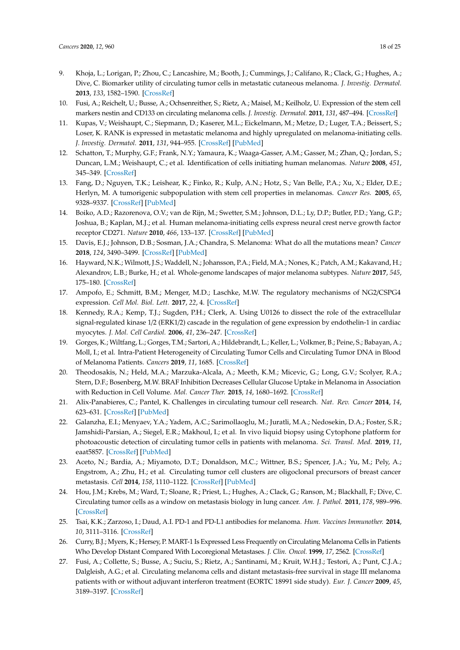- 9. Khoja, L.; Lorigan, P.; Zhou, C.; Lancashire, M.; Booth, J.; Cummings, J.; Califano, R.; Clack, G.; Hughes, A.; Dive, C. Biomarker utility of circulating tumor cells in metastatic cutaneous melanoma. *J. Investig. Dermatol.* **2013**, *133*, 1582–1590. [\[CrossRef\]](http://dx.doi.org/10.1038/jid.2012.468)
- 10. Fusi, A.; Reichelt, U.; Busse, A.; Ochsenreither, S.; Rietz, A.; Maisel, M.; Keilholz, U. Expression of the stem cell markers nestin and CD133 on circulating melanoma cells. *J. Investig. Dermatol.* **2011**, *131*, 487–494. [\[CrossRef\]](http://dx.doi.org/10.1038/jid.2010.285)
- 11. Kupas, V.; Weishaupt, C.; Siepmann, D.; Kaserer, M.L.; Eickelmann, M.; Metze, D.; Luger, T.A.; Beissert, S.; Loser, K. RANK is expressed in metastatic melanoma and highly upregulated on melanoma-initiating cells. *J. Investig. Dermatol.* **2011**, *131*, 944–955. [\[CrossRef\]](http://dx.doi.org/10.1038/jid.2010.377) [\[PubMed\]](http://www.ncbi.nlm.nih.gov/pubmed/21270824)
- 12. Schatton, T.; Murphy, G.F.; Frank, N.Y.; Yamaura, K.; Waaga-Gasser, A.M.; Gasser, M.; Zhan, Q.; Jordan, S.; Duncan, L.M.; Weishaupt, C.; et al. Identification of cells initiating human melanomas. *Nature* **2008**, *451*, 345–349. [\[CrossRef\]](http://dx.doi.org/10.1038/nature06489)
- 13. Fang, D.; Nguyen, T.K.; Leishear, K.; Finko, R.; Kulp, A.N.; Hotz, S.; Van Belle, P.A.; Xu, X.; Elder, D.E.; Herlyn, M. A tumorigenic subpopulation with stem cell properties in melanomas. *Cancer Res.* **2005**, *65*, 9328–9337. [\[CrossRef\]](http://dx.doi.org/10.1158/0008-5472.CAN-05-1343) [\[PubMed\]](http://www.ncbi.nlm.nih.gov/pubmed/16230395)
- 14. Boiko, A.D.; Razorenova, O.V.; van de Rijn, M.; Swetter, S.M.; Johnson, D.L.; Ly, D.P.; Butler, P.D.; Yang, G.P.; Joshua, B.; Kaplan, M.J.; et al. Human melanoma-initiating cells express neural crest nerve growth factor receptor CD271. *Nature* **2010**, *466*, 133–137. [\[CrossRef\]](http://dx.doi.org/10.1038/nature09161) [\[PubMed\]](http://www.ncbi.nlm.nih.gov/pubmed/20596026)
- 15. Davis, E.J.; Johnson, D.B.; Sosman, J.A.; Chandra, S. Melanoma: What do all the mutations mean? *Cancer* **2018**, *124*, 3490–3499. [\[CrossRef\]](http://dx.doi.org/10.1002/cncr.31345) [\[PubMed\]](http://www.ncbi.nlm.nih.gov/pubmed/29663336)
- 16. Hayward, N.K.; Wilmott, J.S.; Waddell, N.; Johansson, P.A.; Field, M.A.; Nones, K.; Patch, A.M.; Kakavand, H.; Alexandrov, L.B.; Burke, H.; et al. Whole-genome landscapes of major melanoma subtypes. *Nature* **2017**, *545*, 175–180. [\[CrossRef\]](http://dx.doi.org/10.1038/nature22071)
- 17. Ampofo, E.; Schmitt, B.M.; Menger, M.D.; Laschke, M.W. The regulatory mechanisms of NG2/CSPG4 expression. *Cell Mol. Biol. Lett.* **2017**, *22*, 4. [\[CrossRef\]](http://dx.doi.org/10.1186/s11658-017-0035-3)
- 18. Kennedy, R.A.; Kemp, T.J.; Sugden, P.H.; Clerk, A. Using U0126 to dissect the role of the extracellular signal-regulated kinase 1/2 (ERK1/2) cascade in the regulation of gene expression by endothelin-1 in cardiac myocytes. *J. Mol. Cell Cardiol.* **2006**, *41*, 236–247. [\[CrossRef\]](http://dx.doi.org/10.1016/j.yjmcc.2006.04.011)
- 19. Gorges, K.; Wiltfang, L.; Gorges, T.M.; Sartori, A.; Hildebrandt, L.; Keller, L.; Volkmer, B.; Peine, S.; Babayan, A.; Moll, I.; et al. Intra-Patient Heterogeneity of Circulating Tumor Cells and Circulating Tumor DNA in Blood of Melanoma Patients. *Cancers* **2019**, *11*, 1685. [\[CrossRef\]](http://dx.doi.org/10.3390/cancers11111685)
- 20. Theodosakis, N.; Held, M.A.; Marzuka-Alcala, A.; Meeth, K.M.; Micevic, G.; Long, G.V.; Scolyer, R.A.; Stern, D.F.; Bosenberg, M.W. BRAF Inhibition Decreases Cellular Glucose Uptake in Melanoma in Association with Reduction in Cell Volume. *Mol. Cancer Ther.* **2015**, *14*, 1680–1692. [\[CrossRef\]](http://dx.doi.org/10.1158/1535-7163.MCT-15-0080)
- 21. Alix-Panabieres, C.; Pantel, K. Challenges in circulating tumour cell research. *Nat. Rev. Cancer* **2014**, *14*, 623–631. [\[CrossRef\]](http://dx.doi.org/10.1038/nrc3820) [\[PubMed\]](http://www.ncbi.nlm.nih.gov/pubmed/25154812)
- 22. Galanzha, E.I.; Menyaev, Y.A.; Yadem, A.C.; Sarimollaoglu, M.; Juratli, M.A.; Nedosekin, D.A.; Foster, S.R.; Jamshidi-Parsian, A.; Siegel, E.R.; Makhoul, I.; et al. In vivo liquid biopsy using Cytophone platform for photoacoustic detection of circulating tumor cells in patients with melanoma. *Sci. Transl. Med.* **2019**, *11*, eaat5857. [\[CrossRef\]](http://dx.doi.org/10.1126/scitranslmed.aat5857) [\[PubMed\]](http://www.ncbi.nlm.nih.gov/pubmed/31189720)
- 23. Aceto, N.; Bardia, A.; Miyamoto, D.T.; Donaldson, M.C.; Wittner, B.S.; Spencer, J.A.; Yu, M.; Pely, A.; Engstrom, A.; Zhu, H.; et al. Circulating tumor cell clusters are oligoclonal precursors of breast cancer metastasis. *Cell* **2014**, *158*, 1110–1122. [\[CrossRef\]](http://dx.doi.org/10.1016/j.cell.2014.07.013) [\[PubMed\]](http://www.ncbi.nlm.nih.gov/pubmed/25171411)
- 24. Hou, J.M.; Krebs, M.; Ward, T.; Sloane, R.; Priest, L.; Hughes, A.; Clack, G.; Ranson, M.; Blackhall, F.; Dive, C. Circulating tumor cells as a window on metastasis biology in lung cancer. *Am. J. Pathol.* **2011**, *178*, 989–996. [\[CrossRef\]](http://dx.doi.org/10.1016/j.ajpath.2010.12.003)
- 25. Tsai, K.K.; Zarzoso, I.; Daud, A.I. PD-1 and PD-L1 antibodies for melanoma. *Hum. Vaccines Immunother.* **2014**, *10*, 3111–3116. [\[CrossRef\]](http://dx.doi.org/10.4161/21645515.2014.983409)
- 26. Curry, B.J.; Myers, K.; Hersey, P. MART-1 Is Expressed Less Frequently on Circulating Melanoma Cells in Patients Who Develop Distant Compared With Locoregional Metastases. *J. Clin. Oncol.* **1999**, *17*, 2562. [\[CrossRef\]](http://dx.doi.org/10.1200/JCO.1999.17.8.2562)
- 27. Fusi, A.; Collette, S.; Busse, A.; Suciu, S.; Rietz, A.; Santinami, M.; Kruit, W.H.J.; Testori, A.; Punt, C.J.A.; Dalgleish, A.G.; et al. Circulating melanoma cells and distant metastasis-free survival in stage III melanoma patients with or without adjuvant interferon treatment (EORTC 18991 side study). *Eur. J. Cancer* **2009**, *45*, 3189–3197. [\[CrossRef\]](http://dx.doi.org/10.1016/j.ejca.2009.09.004)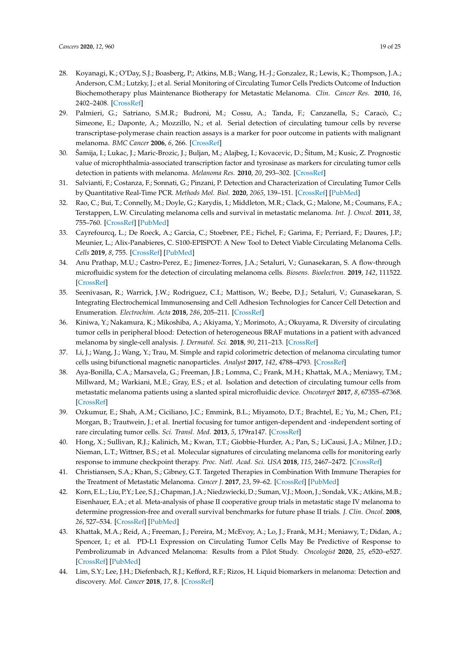- 28. Koyanagi, K.; O'Day, S.J.; Boasberg, P.; Atkins, M.B.; Wang, H.-J.; Gonzalez, R.; Lewis, K.; Thompson, J.A.; Anderson, C.M.; Lutzky, J.; et al. Serial Monitoring of Circulating Tumor Cells Predicts Outcome of Induction Biochemotherapy plus Maintenance Biotherapy for Metastatic Melanoma. *Clin. Cancer Res.* **2010**, *16*, 2402–2408. [\[CrossRef\]](http://dx.doi.org/10.1158/1078-0432.CCR-10-0037)
- 29. Palmieri, G.; Satriano, S.M.R.; Budroni, M.; Cossu, A.; Tanda, F.; Canzanella, S.; Caracò, C.; Simeone, E.; Daponte, A.; Mozzillo, N.; et al. Serial detection of circulating tumour cells by reverse transcriptase-polymerase chain reaction assays is a marker for poor outcome in patients with malignant melanoma. *BMC Cancer* **2006**, *6*, 266. [\[CrossRef\]](http://dx.doi.org/10.1186/1471-2407-6-266)
- 30. Šamija, I.; Lukac, J.; Maric-Brozic, J.; Buljan, M.; Alajbeg, I.; Kovacevic, D.; Šitum, M.; Kusic, Z. Prognostic value of microphthalmia-associated transcription factor and tyrosinase as markers for circulating tumor cells detection in patients with melanoma. *Melanoma Res.* **2010**, *20*, 293–302. [\[CrossRef\]](http://dx.doi.org/10.1097/CMR.0b013e32833906b6)
- 31. Salvianti, F.; Costanza, F.; Sonnati, G.; Pinzani, P. Detection and Characterization of Circulating Tumor Cells by Quantitative Real-Time PCR. *Methods Mol. Biol.* **2020**, *2065*, 139–151. [\[CrossRef\]](http://dx.doi.org/10.1007/978-1-4939-9833-3_11) [\[PubMed\]](http://www.ncbi.nlm.nih.gov/pubmed/31578693)
- 32. Rao, C.; Bui, T.; Connelly, M.; Doyle, G.; Karydis, I.; Middleton, M.R.; Clack, G.; Malone, M.; Coumans, F.A.; Terstappen, L.W. Circulating melanoma cells and survival in metastatic melanoma. *Int. J. Oncol.* **2011**, *38*, 755–760. [\[CrossRef\]](http://dx.doi.org/10.3892/ijo.2011.896) [\[PubMed\]](http://www.ncbi.nlm.nih.gov/pubmed/21206975)
- 33. Cayrefourcq, L.; De Roeck, A.; Garcia, C.; Stoebner, P.E.; Fichel, F.; Garima, F.; Perriard, F.; Daures, J.P.; Meunier, L.; Alix-Panabieres, C. S100-EPISPOT: A New Tool to Detect Viable Circulating Melanoma Cells. *Cells* **2019**, *8*, 755. [\[CrossRef\]](http://dx.doi.org/10.3390/cells8070755) [\[PubMed\]](http://www.ncbi.nlm.nih.gov/pubmed/31330795)
- 34. Anu Prathap, M.U.; Castro-Perez, E.; Jimenez-Torres, J.A.; Setaluri, V.; Gunasekaran, S. A flow-through microfluidic system for the detection of circulating melanoma cells. *Biosens. Bioelectron.* **2019**, *142*, 111522. [\[CrossRef\]](http://dx.doi.org/10.1016/j.bios.2019.111522)
- 35. Seenivasan, R.; Warrick, J.W.; Rodriguez, C.I.; Mattison, W.; Beebe, D.J.; Setaluri, V.; Gunasekaran, S. Integrating Electrochemical Immunosensing and Cell Adhesion Technologies for Cancer Cell Detection and Enumeration. *Electrochim. Acta* **2018**, *286*, 205–211. [\[CrossRef\]](http://dx.doi.org/10.1016/j.electacta.2018.08.005)
- 36. Kiniwa, Y.; Nakamura, K.; Mikoshiba, A.; Akiyama, Y.; Morimoto, A.; Okuyama, R. Diversity of circulating tumor cells in peripheral blood: Detection of heterogeneous BRAF mutations in a patient with advanced melanoma by single-cell analysis. *J. Dermatol. Sci.* **2018**, *90*, 211–213. [\[CrossRef\]](http://dx.doi.org/10.1016/j.jdermsci.2018.01.011)
- 37. Li, J.; Wang, J.; Wang, Y.; Trau, M. Simple and rapid colorimetric detection of melanoma circulating tumor cells using bifunctional magnetic nanoparticles. *Analyst* **2017**, *142*, 4788–4793. [\[CrossRef\]](http://dx.doi.org/10.1039/C7AN01102D)
- 38. Aya-Bonilla, C.A.; Marsavela, G.; Freeman, J.B.; Lomma, C.; Frank, M.H.; Khattak, M.A.; Meniawy, T.M.; Millward, M.; Warkiani, M.E.; Gray, E.S.; et al. Isolation and detection of circulating tumour cells from metastatic melanoma patients using a slanted spiral microfluidic device. *Oncotarget* **2017**, *8*, 67355–67368. [\[CrossRef\]](http://dx.doi.org/10.18632/oncotarget.18641)
- 39. Ozkumur, E.; Shah, A.M.; Ciciliano, J.C.; Emmink, B.L.; Miyamoto, D.T.; Brachtel, E.; Yu, M.; Chen, P.I.; Morgan, B.; Trautwein, J.; et al. Inertial focusing for tumor antigen-dependent and -independent sorting of rare circulating tumor cells. *Sci. Transl. Med.* **2013**, *5*, 179ra147. [\[CrossRef\]](http://dx.doi.org/10.1126/scitranslmed.3005616)
- 40. Hong, X.; Sullivan, R.J.; Kalinich, M.; Kwan, T.T.; Giobbie-Hurder, A.; Pan, S.; LiCausi, J.A.; Milner, J.D.; Nieman, L.T.; Wittner, B.S.; et al. Molecular signatures of circulating melanoma cells for monitoring early response to immune checkpoint therapy. *Proc. Natl. Acad. Sci. USA* **2018**, *115*, 2467–2472. [\[CrossRef\]](http://dx.doi.org/10.1073/pnas.1719264115)
- 41. Christiansen, S.A.; Khan, S.; Gibney, G.T. Targeted Therapies in Combination With Immune Therapies for the Treatment of Metastatic Melanoma. *Cancer J.* **2017**, *23*, 59–62. [\[CrossRef\]](http://dx.doi.org/10.1097/PPO.0000000000000245) [\[PubMed\]](http://www.ncbi.nlm.nih.gov/pubmed/28114256)
- 42. Korn, E.L.; Liu, P.Y.; Lee, S.J.; Chapman, J.A.; Niedzwiecki, D.; Suman, V.J.; Moon, J.; Sondak, V.K.; Atkins, M.B.; Eisenhauer, E.A.; et al. Meta-analysis of phase II cooperative group trials in metastatic stage IV melanoma to determine progression-free and overall survival benchmarks for future phase II trials. *J. Clin. Oncol.* **2008**, *26*, 527–534. [\[CrossRef\]](http://dx.doi.org/10.1200/JCO.2007.12.7837) [\[PubMed\]](http://www.ncbi.nlm.nih.gov/pubmed/18235113)
- 43. Khattak, M.A.; Reid, A.; Freeman, J.; Pereira, M.; McEvoy, A.; Lo, J.; Frank, M.H.; Meniawy, T.; Didan, A.; Spencer, I.; et al. PD-L1 Expression on Circulating Tumor Cells May Be Predictive of Response to Pembrolizumab in Advanced Melanoma: Results from a Pilot Study. *Oncologist* **2020**, *25*, e520–e527. [\[CrossRef\]](http://dx.doi.org/10.1634/theoncologist.2019-0557) [\[PubMed\]](http://www.ncbi.nlm.nih.gov/pubmed/32162809)
- 44. Lim, S.Y.; Lee, J.H.; Diefenbach, R.J.; Kefford, R.F.; Rizos, H. Liquid biomarkers in melanoma: Detection and discovery. *Mol. Cancer* **2018**, *17*, 8. [\[CrossRef\]](http://dx.doi.org/10.1186/s12943-018-0757-5)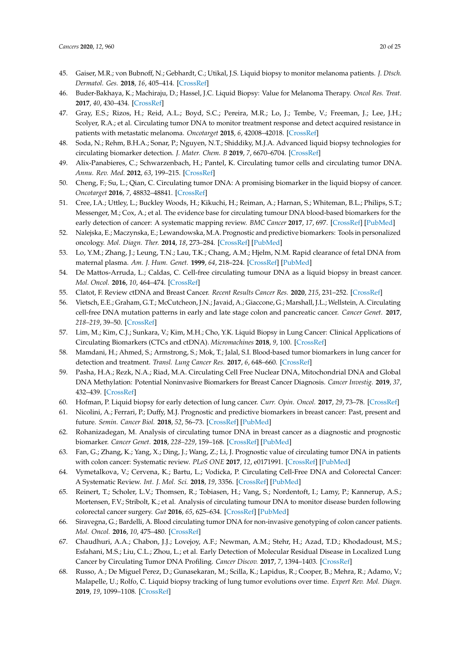- 45. Gaiser, M.R.; von Bubnoff, N.; Gebhardt, C.; Utikal, J.S. Liquid biopsy to monitor melanoma patients. *J. Dtsch. Dermatol. Ges.* **2018**, *16*, 405–414. [\[CrossRef\]](http://dx.doi.org/10.1111/ddg.13461)
- 46. Buder-Bakhaya, K.; Machiraju, D.; Hassel, J.C. Liquid Biopsy: Value for Melanoma Therapy. *Oncol Res. Treat.* **2017**, *40*, 430–434. [\[CrossRef\]](http://dx.doi.org/10.1159/000478893)
- 47. Gray, E.S.; Rizos, H.; Reid, A.L.; Boyd, S.C.; Pereira, M.R.; Lo, J.; Tembe, V.; Freeman, J.; Lee, J.H.; Scolyer, R.A.; et al. Circulating tumor DNA to monitor treatment response and detect acquired resistance in patients with metastatic melanoma. *Oncotarget* **2015**, *6*, 42008–42018. [\[CrossRef\]](http://dx.doi.org/10.18632/oncotarget.5788)
- 48. Soda, N.; Rehm, B.H.A.; Sonar, P.; Nguyen, N.T.; Shiddiky, M.J.A. Advanced liquid biopsy technologies for circulating biomarker detection. *J. Mater. Chem. B* **2019**, *7*, 6670–6704. [\[CrossRef\]](http://dx.doi.org/10.1039/C9TB01490J)
- 49. Alix-Panabieres, C.; Schwarzenbach, H.; Pantel, K. Circulating tumor cells and circulating tumor DNA. *Annu. Rev. Med.* **2012**, *63*, 199–215. [\[CrossRef\]](http://dx.doi.org/10.1146/annurev-med-062310-094219)
- 50. Cheng, F.; Su, L.; Qian, C. Circulating tumor DNA: A promising biomarker in the liquid biopsy of cancer. *Oncotarget* **2016**, *7*, 48832–48841. [\[CrossRef\]](http://dx.doi.org/10.18632/oncotarget.9453)
- 51. Cree, I.A.; Uttley, L.; Buckley Woods, H.; Kikuchi, H.; Reiman, A.; Harnan, S.; Whiteman, B.L.; Philips, S.T.; Messenger, M.; Cox, A.; et al. The evidence base for circulating tumour DNA blood-based biomarkers for the early detection of cancer: A systematic mapping review. *BMC Cancer* **2017**, *17*, 697. [\[CrossRef\]](http://dx.doi.org/10.1186/s12885-017-3693-7) [\[PubMed\]](http://www.ncbi.nlm.nih.gov/pubmed/29061138)
- 52. Nalejska, E.; Maczynska, E.; Lewandowska, M.A. Prognostic and predictive biomarkers: Tools in personalized oncology. *Mol. Diagn. Ther.* **2014**, *18*, 273–284. [\[CrossRef\]](http://dx.doi.org/10.1007/s40291-013-0077-9) [\[PubMed\]](http://www.ncbi.nlm.nih.gov/pubmed/24385403)
- 53. Lo, Y.M.; Zhang, J.; Leung, T.N.; Lau, T.K.; Chang, A.M.; Hjelm, N.M. Rapid clearance of fetal DNA from maternal plasma. *Am. J. Hum. Genet.* **1999**, *64*, 218–224. [\[CrossRef\]](http://dx.doi.org/10.1086/302205) [\[PubMed\]](http://www.ncbi.nlm.nih.gov/pubmed/9915961)
- 54. De Mattos-Arruda, L.; Caldas, C. Cell-free circulating tumour DNA as a liquid biopsy in breast cancer. *Mol. Oncol.* **2016**, *10*, 464–474. [\[CrossRef\]](http://dx.doi.org/10.1016/j.molonc.2015.12.001)
- 55. Clatot, F. Review ctDNA and Breast Cancer. *Recent Results Cancer Res.* **2020**, *215*, 231–252. [\[CrossRef\]](http://dx.doi.org/10.1007/978-3-030-26439-0_12)
- 56. Vietsch, E.E.; Graham, G.T.; McCutcheon, J.N.; Javaid, A.; Giaccone, G.; Marshall, J.L.; Wellstein, A. Circulating cell-free DNA mutation patterns in early and late stage colon and pancreatic cancer. *Cancer Genet.* **2017**, *218–219*, 39–50. [\[CrossRef\]](http://dx.doi.org/10.1016/j.cancergen.2017.08.006)
- 57. Lim, M.; Kim, C.J.; Sunkara, V.; Kim, M.H.; Cho, Y.K. Liquid Biopsy in Lung Cancer: Clinical Applications of Circulating Biomarkers (CTCs and ctDNA). *Micromachines* **2018**, *9*, 100. [\[CrossRef\]](http://dx.doi.org/10.3390/mi9030100)
- 58. Mamdani, H.; Ahmed, S.; Armstrong, S.; Mok, T.; Jalal, S.I. Blood-based tumor biomarkers in lung cancer for detection and treatment. *Transl. Lung Cancer Res.* **2017**, *6*, 648–660. [\[CrossRef\]](http://dx.doi.org/10.21037/tlcr.2017.09.03)
- 59. Pasha, H.A.; Rezk, N.A.; Riad, M.A. Circulating Cell Free Nuclear DNA, Mitochondrial DNA and Global DNA Methylation: Potential Noninvasive Biomarkers for Breast Cancer Diagnosis. *Cancer Investig.* **2019**, *37*, 432–439. [\[CrossRef\]](http://dx.doi.org/10.1080/07357907.2019.1663864)
- 60. Hofman, P. Liquid biopsy for early detection of lung cancer. *Curr. Opin. Oncol.* **2017**, *29*, 73–78. [\[CrossRef\]](http://dx.doi.org/10.1097/CCO.0000000000000343)
- 61. Nicolini, A.; Ferrari, P.; Duffy, M.J. Prognostic and predictive biomarkers in breast cancer: Past, present and future. *Semin. Cancer Biol.* **2018**, *52*, 56–73. [\[CrossRef\]](http://dx.doi.org/10.1016/j.semcancer.2017.08.010) [\[PubMed\]](http://www.ncbi.nlm.nih.gov/pubmed/28882552)
- 62. Rohanizadegan, M. Analysis of circulating tumor DNA in breast cancer as a diagnostic and prognostic biomarker. *Cancer Genet.* **2018**, *228–229*, 159–168. [\[CrossRef\]](http://dx.doi.org/10.1016/j.cancergen.2018.02.002) [\[PubMed\]](http://www.ncbi.nlm.nih.gov/pubmed/29572011)
- 63. Fan, G.; Zhang, K.; Yang, X.; Ding, J.; Wang, Z.; Li, J. Prognostic value of circulating tumor DNA in patients with colon cancer: Systematic review. *PLoS ONE* **2017**, *12*, e0171991. [\[CrossRef\]](http://dx.doi.org/10.1371/journal.pone.0171991) [\[PubMed\]](http://www.ncbi.nlm.nih.gov/pubmed/28187169)
- 64. Vymetalkova, V.; Cervena, K.; Bartu, L.; Vodicka, P. Circulating Cell-Free DNA and Colorectal Cancer: A Systematic Review. *Int. J. Mol. Sci.* **2018**, *19*, 3356. [\[CrossRef\]](http://dx.doi.org/10.3390/ijms19113356) [\[PubMed\]](http://www.ncbi.nlm.nih.gov/pubmed/30373199)
- 65. Reinert, T.; Scholer, L.V.; Thomsen, R.; Tobiasen, H.; Vang, S.; Nordentoft, I.; Lamy, P.; Kannerup, A.S.; Mortensen, F.V.; Stribolt, K.; et al. Analysis of circulating tumour DNA to monitor disease burden following colorectal cancer surgery. *Gut* **2016**, *65*, 625–634. [\[CrossRef\]](http://dx.doi.org/10.1136/gutjnl-2014-308859) [\[PubMed\]](http://www.ncbi.nlm.nih.gov/pubmed/25654990)
- 66. Siravegna, G.; Bardelli, A. Blood circulating tumor DNA for non-invasive genotyping of colon cancer patients. *Mol. Oncol.* **2016**, *10*, 475–480. [\[CrossRef\]](http://dx.doi.org/10.1016/j.molonc.2015.12.005)
- 67. Chaudhuri, A.A.; Chabon, J.J.; Lovejoy, A.F.; Newman, A.M.; Stehr, H.; Azad, T.D.; Khodadoust, M.S.; Esfahani, M.S.; Liu, C.L.; Zhou, L.; et al. Early Detection of Molecular Residual Disease in Localized Lung Cancer by Circulating Tumor DNA Profiling. *Cancer Discov.* **2017**, *7*, 1394–1403. [\[CrossRef\]](http://dx.doi.org/10.1158/2159-8290.CD-17-0716)
- 68. Russo, A.; De Miguel Perez, D.; Gunasekaran, M.; Scilla, K.; Lapidus, R.; Cooper, B.; Mehra, R.; Adamo, V.; Malapelle, U.; Rolfo, C. Liquid biopsy tracking of lung tumor evolutions over time. *Expert Rev. Mol. Diagn.* **2019**, *19*, 1099–1108. [\[CrossRef\]](http://dx.doi.org/10.1080/14737159.2020.1680287)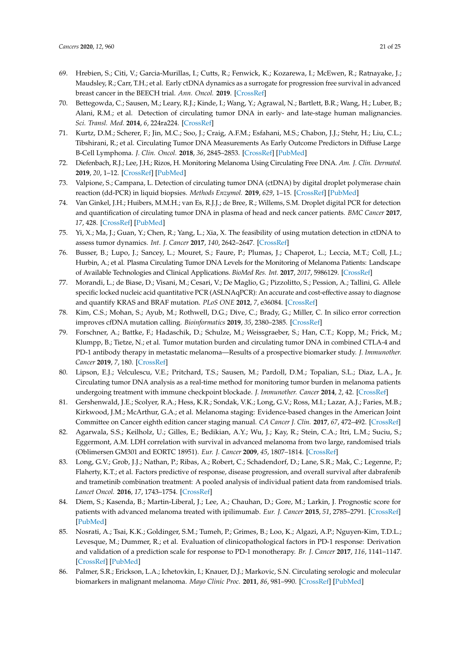- 69. Hrebien, S.; Citi, V.; Garcia-Murillas, I.; Cutts, R.; Fenwick, K.; Kozarewa, I.; McEwen, R.; Ratnayake, J.; Maudsley, R.; Carr, T.H.; et al. Early ctDNA dynamics as a surrogate for progression free survival in advanced breast cancer in the BEECH trial. *Ann. Oncol.* **2019**. [\[CrossRef\]](http://dx.doi.org/10.1093/annonc/mdz085)
- 70. Bettegowda, C.; Sausen, M.; Leary, R.J.; Kinde, I.; Wang, Y.; Agrawal, N.; Bartlett, B.R.; Wang, H.; Luber, B.; Alani, R.M.; et al. Detection of circulating tumor DNA in early- and late-stage human malignancies. *Sci. Transl. Med.* **2014**, *6*, 224ra224. [\[CrossRef\]](http://dx.doi.org/10.1126/scitranslmed.3007094)
- 71. Kurtz, D.M.; Scherer, F.; Jin, M.C.; Soo, J.; Craig, A.F.M.; Esfahani, M.S.; Chabon, J.J.; Stehr, H.; Liu, C.L.; Tibshirani, R.; et al. Circulating Tumor DNA Measurements As Early Outcome Predictors in Diffuse Large B-Cell Lymphoma. *J. Clin. Oncol.* **2018**, *36*, 2845–2853. [\[CrossRef\]](http://dx.doi.org/10.1200/JCO.2018.78.5246) [\[PubMed\]](http://www.ncbi.nlm.nih.gov/pubmed/30125215)
- 72. Diefenbach, R.J.; Lee, J.H.; Rizos, H. Monitoring Melanoma Using Circulating Free DNA. *Am. J. Clin. Dermatol.* **2019**, *20*, 1–12. [\[CrossRef\]](http://dx.doi.org/10.1007/s40257-018-0398-x) [\[PubMed\]](http://www.ncbi.nlm.nih.gov/pubmed/30374893)
- 73. Valpione, S.; Campana, L. Detection of circulating tumor DNA (ctDNA) by digital droplet polymerase chain reaction (dd-PCR) in liquid biopsies. *Methods Enzymol.* **2019**, *629*, 1–15. [\[CrossRef\]](http://dx.doi.org/10.1016/bs.mie.2019.08.002) [\[PubMed\]](http://www.ncbi.nlm.nih.gov/pubmed/31727235)
- 74. Van Ginkel, J.H.; Huibers, M.M.H.; van Es, R.J.J.; de Bree, R.; Willems, S.M. Droplet digital PCR for detection and quantification of circulating tumor DNA in plasma of head and neck cancer patients. *BMC Cancer* **2017**, *17*, 428. [\[CrossRef\]](http://dx.doi.org/10.1186/s12885-017-3424-0) [\[PubMed\]](http://www.ncbi.nlm.nih.gov/pubmed/28629339)
- 75. Yi, X.; Ma, J.; Guan, Y.; Chen, R.; Yang, L.; Xia, X. The feasibility of using mutation detection in ctDNA to assess tumor dynamics. *Int. J. Cancer* **2017**, *140*, 2642–2647. [\[CrossRef\]](http://dx.doi.org/10.1002/ijc.30620)
- 76. Busser, B.; Lupo, J.; Sancey, L.; Mouret, S.; Faure, P.; Plumas, J.; Chaperot, L.; Leccia, M.T.; Coll, J.L.; Hurbin, A.; et al. Plasma Circulating Tumor DNA Levels for the Monitoring of Melanoma Patients: Landscape of Available Technologies and Clinical Applications. *BioMed Res. Int.* **2017**, *2017*, 5986129. [\[CrossRef\]](http://dx.doi.org/10.1155/2017/5986129)
- 77. Morandi, L.; de Biase, D.; Visani, M.; Cesari, V.; De Maglio, G.; Pizzolitto, S.; Pession, A.; Tallini, G. Allele specific locked nucleic acid quantitative PCR (ASLNAqPCR): An accurate and cost-effective assay to diagnose and quantify KRAS and BRAF mutation. *PLoS ONE* **2012**, *7*, e36084. [\[CrossRef\]](http://dx.doi.org/10.1371/journal.pone.0036084)
- 78. Kim, C.S.; Mohan, S.; Ayub, M.; Rothwell, D.G.; Dive, C.; Brady, G.; Miller, C. In silico error correction improves cfDNA mutation calling. *Bioinformatics* **2019**, *35*, 2380–2385. [\[CrossRef\]](http://dx.doi.org/10.1093/bioinformatics/bty1004)
- 79. Forschner, A.; Battke, F.; Hadaschik, D.; Schulze, M.; Weissgraeber, S.; Han, C.T.; Kopp, M.; Frick, M.; Klumpp, B.; Tietze, N.; et al. Tumor mutation burden and circulating tumor DNA in combined CTLA-4 and PD-1 antibody therapy in metastatic melanoma—Results of a prospective biomarker study. *J. Immunother. Cancer* **2019**, *7*, 180. [\[CrossRef\]](http://dx.doi.org/10.1186/s40425-019-0659-0)
- 80. Lipson, E.J.; Velculescu, V.E.; Pritchard, T.S.; Sausen, M.; Pardoll, D.M.; Topalian, S.L.; Diaz, L.A., Jr. Circulating tumor DNA analysis as a real-time method for monitoring tumor burden in melanoma patients undergoing treatment with immune checkpoint blockade. *J. Immunother. Cancer* **2014**, *2*, 42. [\[CrossRef\]](http://dx.doi.org/10.1186/s40425-014-0042-0)
- 81. Gershenwald, J.E.; Scolyer, R.A.; Hess, K.R.; Sondak, V.K.; Long, G.V.; Ross, M.I.; Lazar, A.J.; Faries, M.B.; Kirkwood, J.M.; McArthur, G.A.; et al. Melanoma staging: Evidence-based changes in the American Joint Committee on Cancer eighth edition cancer staging manual. *CA Cancer J. Clin.* **2017**, *67*, 472–492. [\[CrossRef\]](http://dx.doi.org/10.3322/caac.21409)
- 82. Agarwala, S.S.; Keilholz, U.; Gilles, E.; Bedikian, A.Y.; Wu, J.; Kay, R.; Stein, C.A.; Itri, L.M.; Suciu, S.; Eggermont, A.M. LDH correlation with survival in advanced melanoma from two large, randomised trials (Oblimersen GM301 and EORTC 18951). *Eur. J. Cancer* **2009**, *45*, 1807–1814. [\[CrossRef\]](http://dx.doi.org/10.1016/j.ejca.2009.04.016)
- 83. Long, G.V.; Grob, J.J.; Nathan, P.; Ribas, A.; Robert, C.; Schadendorf, D.; Lane, S.R.; Mak, C.; Legenne, P.; Flaherty, K.T.; et al. Factors predictive of response, disease progression, and overall survival after dabrafenib and trametinib combination treatment: A pooled analysis of individual patient data from randomised trials. *Lancet Oncol.* **2016**, *17*, 1743–1754. [\[CrossRef\]](http://dx.doi.org/10.1016/S1470-2045(16)30578-2)
- 84. Diem, S.; Kasenda, B.; Martin-Liberal, J.; Lee, A.; Chauhan, D.; Gore, M.; Larkin, J. Prognostic score for patients with advanced melanoma treated with ipilimumab. *Eur. J. Cancer* **2015**, *51*, 2785–2791. [\[CrossRef\]](http://dx.doi.org/10.1016/j.ejca.2015.09.007) [\[PubMed\]](http://www.ncbi.nlm.nih.gov/pubmed/26597444)
- 85. Nosrati, A.; Tsai, K.K.; Goldinger, S.M.; Tumeh, P.; Grimes, B.; Loo, K.; Algazi, A.P.; Nguyen-Kim, T.D.L.; Levesque, M.; Dummer, R.; et al. Evaluation of clinicopathological factors in PD-1 response: Derivation and validation of a prediction scale for response to PD-1 monotherapy. *Br. J. Cancer* **2017**, *116*, 1141–1147. [\[CrossRef\]](http://dx.doi.org/10.1038/bjc.2017.70) [\[PubMed\]](http://www.ncbi.nlm.nih.gov/pubmed/28324889)
- 86. Palmer, S.R.; Erickson, L.A.; Ichetovkin, I.; Knauer, D.J.; Markovic, S.N. Circulating serologic and molecular biomarkers in malignant melanoma. *Mayo Clinic Proc.* **2011**, *86*, 981–990. [\[CrossRef\]](http://dx.doi.org/10.4065/mcp.2011.0287) [\[PubMed\]](http://www.ncbi.nlm.nih.gov/pubmed/21964175)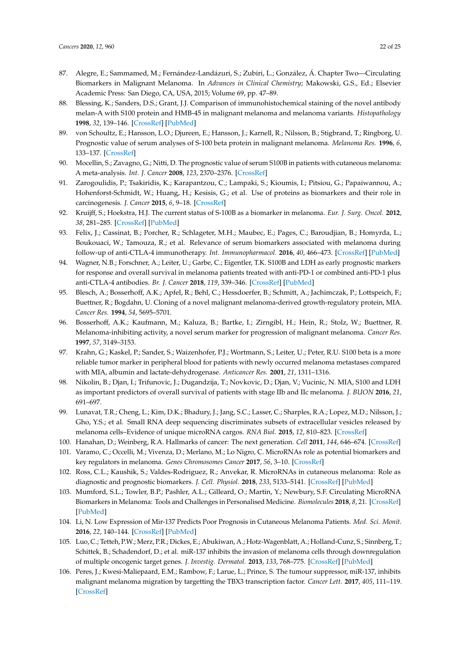- 87. Alegre, E.; Sammamed, M.; Fernández-Landázuri, S.; Zubiri, L.; González, Á. Chapter Two—Circulating Biomarkers in Malignant Melanoma. In *Advances in Clinical Chemistry*; Makowski, G.S., Ed.; Elsevier Academic Press: San Diego, CA, USA, 2015; Volume 69, pp. 47–89.
- 88. Blessing, K.; Sanders, D.S.; Grant, J.J. Comparison of immunohistochemical staining of the novel antibody melan-A with S100 protein and HMB-45 in malignant melanoma and melanoma variants. *Histopathology* **1998**, *32*, 139–146. [\[CrossRef\]](http://dx.doi.org/10.1046/j.1365-2559.1998.00312.x) [\[PubMed\]](http://www.ncbi.nlm.nih.gov/pubmed/9543670)
- 89. von Schoultz, E.; Hansson, L.O.; Djureen, E.; Hansson, J.; Karnell, R.; Nilsson, B.; Stigbrand, T.; Ringborg, U. Prognostic value of serum analyses of S-100 beta protein in malignant melanoma. *Melanoma Res.* **1996**, *6*, 133–137. [\[CrossRef\]](http://dx.doi.org/10.1097/00008390-199604000-00008)
- 90. Mocellin, S.; Zavagno, G.; Nitti, D. The prognostic value of serum S100B in patients with cutaneous melanoma: A meta-analysis. *Int. J. Cancer* **2008**, *123*, 2370–2376. [\[CrossRef\]](http://dx.doi.org/10.1002/ijc.23794)
- 91. Zarogoulidis, P.; Tsakiridis, K.; Karapantzou, C.; Lampaki, S.; Kioumis, I.; Pitsiou, G.; Papaiwannou, A.; Hohenforst-Schmidt, W.; Huang, H.; Kesisis, G.; et al. Use of proteins as biomarkers and their role in carcinogenesis. *J. Cancer* **2015**, *6*, 9–18. [\[CrossRef\]](http://dx.doi.org/10.7150/jca.10560)
- 92. Kruijff, S.; Hoekstra, H.J. The current status of S-100B as a biomarker in melanoma. *Eur. J. Surg. Oncol.* **2012**, *38*, 281–285. [\[CrossRef\]](http://dx.doi.org/10.1016/j.ejso.2011.12.005) [\[PubMed\]](http://www.ncbi.nlm.nih.gov/pubmed/22240030)
- 93. Felix, J.; Cassinat, B.; Porcher, R.; Schlageter, M.H.; Maubec, E.; Pages, C.; Baroudjian, B.; Homyrda, L.; Boukouaci, W.; Tamouza, R.; et al. Relevance of serum biomarkers associated with melanoma during follow-up of anti-CTLA-4 immunotherapy. *Int. Immunopharmacol.* **2016**, *40*, 466–473. [\[CrossRef\]](http://dx.doi.org/10.1016/j.intimp.2016.09.030) [\[PubMed\]](http://www.ncbi.nlm.nih.gov/pubmed/27728898)
- 94. Wagner, N.B.; Forschner, A.; Leiter, U.; Garbe, C.; Eigentler, T.K. S100B and LDH as early prognostic markers for response and overall survival in melanoma patients treated with anti-PD-1 or combined anti-PD-1 plus anti-CTLA-4 antibodies. *Br. J. Cancer* **2018**, *119*, 339–346. [\[CrossRef\]](http://dx.doi.org/10.1038/s41416-018-0167-x) [\[PubMed\]](http://www.ncbi.nlm.nih.gov/pubmed/29950611)
- 95. Blesch, A.; Bosserhoff, A.K.; Apfel, R.; Behl, C.; Hessdoerfer, B.; Schmitt, A.; Jachimczak, P.; Lottspeich, F.; Buettner, R.; Bogdahn, U. Cloning of a novel malignant melanoma-derived growth-regulatory protein, MIA. *Cancer Res.* **1994**, *54*, 5695–5701.
- 96. Bosserhoff, A.K.; Kaufmann, M.; Kaluza, B.; Bartke, I.; Zirngibl, H.; Hein, R.; Stolz, W.; Buettner, R. Melanoma-inhibiting activity, a novel serum marker for progression of malignant melanoma. *Cancer Res.* **1997**, *57*, 3149–3153.
- 97. Krahn, G.; Kaskel, P.; Sander, S.; Waizenhofer, P.J.; Wortmann, S.; Leiter, U.; Peter, R.U. S100 beta is a more reliable tumor marker in peripheral blood for patients with newly occurred melanoma metastases compared with MIA, albumin and lactate-dehydrogenase. *Anticancer Res.* **2001**, *21*, 1311–1316.
- 98. Nikolin, B.; Djan, I.; Trifunovic, J.; Dugandzija, T.; Novkovic, D.; Djan, V.; Vucinic, N. MIA, S100 and LDH as important predictors of overall survival of patients with stage IIb and IIc melanoma. *J. BUON* **2016**, *21*, 691–697.
- 99. Lunavat, T.R.; Cheng, L.; Kim, D.K.; Bhadury, J.; Jang, S.C.; Lasser, C.; Sharples, R.A.; Lopez, M.D.; Nilsson, J.; Gho, Y.S.; et al. Small RNA deep sequencing discriminates subsets of extracellular vesicles released by melanoma cells–Evidence of unique microRNA cargos. *RNA Biol.* **2015**, *12*, 810–823. [\[CrossRef\]](http://dx.doi.org/10.1080/15476286.2015.1056975)
- 100. Hanahan, D.; Weinberg, R.A. Hallmarks of cancer: The next generation. *Cell* **2011**, *144*, 646–674. [\[CrossRef\]](http://dx.doi.org/10.1016/j.cell.2011.02.013)
- 101. Varamo, C.; Occelli, M.; Vivenza, D.; Merlano, M.; Lo Nigro, C. MicroRNAs role as potential biomarkers and key regulators in melanoma. *Genes Chromosomes Cancer* **2017**, *56*, 3–10. [\[CrossRef\]](http://dx.doi.org/10.1002/gcc.22402)
- 102. Ross, C.L.; Kaushik, S.; Valdes-Rodriguez, R.; Anvekar, R. MicroRNAs in cutaneous melanoma: Role as diagnostic and prognostic biomarkers. *J. Cell. Physiol.* **2018**, *233*, 5133–5141. [\[CrossRef\]](http://dx.doi.org/10.1002/jcp.26395) [\[PubMed\]](http://www.ncbi.nlm.nih.gov/pubmed/29226953)
- 103. Mumford, S.L.; Towler, B.P.; Pashler, A.L.; Gilleard, O.; Martin, Y.; Newbury, S.F. Circulating MicroRNA Biomarkers in Melanoma: Tools and Challenges in Personalised Medicine. *Biomolecules* **2018**, *8*, 21. [\[CrossRef\]](http://dx.doi.org/10.3390/biom8020021) [\[PubMed\]](http://www.ncbi.nlm.nih.gov/pubmed/29701682)
- 104. Li, N. Low Expression of Mir-137 Predicts Poor Prognosis in Cutaneous Melanoma Patients. *Med. Sci. Monit.* **2016**, *22*, 140–144. [\[CrossRef\]](http://dx.doi.org/10.12659/MSM.895207) [\[PubMed\]](http://www.ncbi.nlm.nih.gov/pubmed/26763596)
- 105. Luo, C.; Tetteh, P.W.; Merz, P.R.; Dickes, E.; Abukiwan, A.; Hotz-Wagenblatt, A.; Holland-Cunz, S.; Sinnberg, T.; Schittek, B.; Schadendorf, D.; et al. miR-137 inhibits the invasion of melanoma cells through downregulation of multiple oncogenic target genes. *J. Investig. Dermatol.* **2013**, *133*, 768–775. [\[CrossRef\]](http://dx.doi.org/10.1038/jid.2012.357) [\[PubMed\]](http://www.ncbi.nlm.nih.gov/pubmed/23151846)
- 106. Peres, J.; Kwesi-Maliepaard, E.M.; Rambow, F.; Larue, L.; Prince, S. The tumour suppressor, miR-137, inhibits malignant melanoma migration by targetting the TBX3 transcription factor. *Cancer Lett.* **2017**, *405*, 111–119. [\[CrossRef\]](http://dx.doi.org/10.1016/j.canlet.2017.07.018)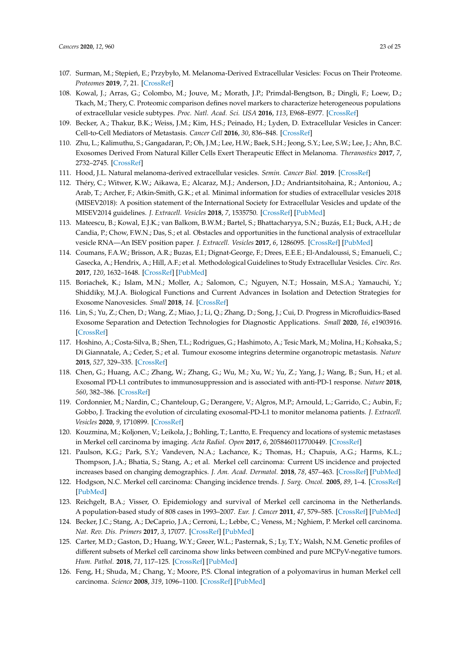- 107. Surman, M.; Stępień, E.; Przybyło, M. Melanoma-Derived Extracellular Vesicles: Focus on Their Proteome. *Proteomes* **2019**, *7*, 21. [\[CrossRef\]](http://dx.doi.org/10.3390/proteomes7020021)
- 108. Kowal, J.; Arras, G.; Colombo, M.; Jouve, M.; Morath, J.P.; Primdal-Bengtson, B.; Dingli, F.; Loew, D.; Tkach, M.; Thery, C. Proteomic comparison defines novel markers to characterize heterogeneous populations of extracellular vesicle subtypes. *Proc. Natl. Acad. Sci. USA* **2016**, *113*, E968–E977. [\[CrossRef\]](http://dx.doi.org/10.1073/pnas.1521230113)
- 109. Becker, A.; Thakur, B.K.; Weiss, J.M.; Kim, H.S.; Peinado, H.; Lyden, D. Extracellular Vesicles in Cancer: Cell-to-Cell Mediators of Metastasis. *Cancer Cell* **2016**, *30*, 836–848. [\[CrossRef\]](http://dx.doi.org/10.1016/j.ccell.2016.10.009)
- 110. Zhu, L.; Kalimuthu, S.; Gangadaran, P.; Oh, J.M.; Lee, H.W.; Baek, S.H.; Jeong, S.Y.; Lee, S.W.; Lee, J.; Ahn, B.C. Exosomes Derived From Natural Killer Cells Exert Therapeutic Effect in Melanoma. *Theranostics* **2017**, *7*, 2732–2745. [\[CrossRef\]](http://dx.doi.org/10.7150/thno.18752)
- 111. Hood, J.L. Natural melanoma-derived extracellular vesicles. *Semin. Cancer Biol.* **2019**. [\[CrossRef\]](http://dx.doi.org/10.1016/j.semcancer.2019.06.020)
- 112. Théry, C.; Witwer, K.W.; Aikawa, E.; Alcaraz, M.J.; Anderson, J.D.; Andriantsitohaina, R.; Antoniou, A.; Arab, T.; Archer, F.; Atkin-Smith, G.K.; et al. Minimal information for studies of extracellular vesicles 2018 (MISEV2018): A position statement of the International Society for Extracellular Vesicles and update of the MISEV2014 guidelines. *J. Extracell. Vesicles* **2018**, *7*, 1535750. [\[CrossRef\]](http://dx.doi.org/10.1080/20013078.2018.1535750) [\[PubMed\]](http://www.ncbi.nlm.nih.gov/pubmed/30637094)
- 113. Mateescu, B.; Kowal, E.J.K.; van Balkom, B.W.M.; Bartel, S.; Bhattacharyya, S.N.; Buzás, E.I.; Buck, A.H.; de Candia, P.; Chow, F.W.N.; Das, S.; et al. Obstacles and opportunities in the functional analysis of extracellular vesicle RNA—An ISEV position paper. *J. Extracell. Vesicles* **2017**, *6*, 1286095. [\[CrossRef\]](http://dx.doi.org/10.1080/20013078.2017.1286095) [\[PubMed\]](http://www.ncbi.nlm.nih.gov/pubmed/28326170)
- 114. Coumans, F.A.W.; Brisson, A.R.; Buzas, E.I.; Dignat-George, F.; Drees, E.E.E.; El-Andaloussi, S.; Emanueli, C.; Gasecka, A.; Hendrix, A.; Hill, A.F.; et al. Methodological Guidelines to Study Extracellular Vesicles. *Circ. Res.* **2017**, *120*, 1632–1648. [\[CrossRef\]](http://dx.doi.org/10.1161/CIRCRESAHA.117.309417) [\[PubMed\]](http://www.ncbi.nlm.nih.gov/pubmed/28495994)
- 115. Boriachek, K.; Islam, M.N.; Moller, A.; Salomon, C.; Nguyen, N.T.; Hossain, M.S.A.; Yamauchi, Y.; Shiddiky, M.J.A. Biological Functions and Current Advances in Isolation and Detection Strategies for Exosome Nanovesicles. *Small* **2018**, *14*. [\[CrossRef\]](http://dx.doi.org/10.1002/smll.201702153)
- 116. Lin, S.; Yu, Z.; Chen, D.; Wang, Z.; Miao, J.; Li, Q.; Zhang, D.; Song, J.; Cui, D. Progress in Microfluidics-Based Exosome Separation and Detection Technologies for Diagnostic Applications. *Small* **2020**, *16*, e1903916. [\[CrossRef\]](http://dx.doi.org/10.1002/smll.201903916)
- 117. Hoshino, A.; Costa-Silva, B.; Shen, T.L.; Rodrigues, G.; Hashimoto, A.; Tesic Mark, M.; Molina, H.; Kohsaka, S.; Di Giannatale, A.; Ceder, S.; et al. Tumour exosome integrins determine organotropic metastasis. *Nature* **2015**, *527*, 329–335. [\[CrossRef\]](http://dx.doi.org/10.1038/nature15756)
- 118. Chen, G.; Huang, A.C.; Zhang, W.; Zhang, G.; Wu, M.; Xu, W.; Yu, Z.; Yang, J.; Wang, B.; Sun, H.; et al. Exosomal PD-L1 contributes to immunosuppression and is associated with anti-PD-1 response. *Nature* **2018**, *560*, 382–386. [\[CrossRef\]](http://dx.doi.org/10.1038/s41586-018-0392-8)
- 119. Cordonnier, M.; Nardin, C.; Chanteloup, G.; Derangere, V.; Algros, M.P.; Arnould, L.; Garrido, C.; Aubin, F.; Gobbo, J. Tracking the evolution of circulating exosomal-PD-L1 to monitor melanoma patients. *J. Extracell. Vesicles* **2020**, *9*, 1710899. [\[CrossRef\]](http://dx.doi.org/10.1080/20013078.2019.1710899)
- 120. Kouzmina, M.; Koljonen, V.; Leikola, J.; Bohling, T.; Lantto, E. Frequency and locations of systemic metastases in Merkel cell carcinoma by imaging. *Acta Radiol. Open* **2017**, *6*, 2058460117700449. [\[CrossRef\]](http://dx.doi.org/10.1177/2058460117700449)
- 121. Paulson, K.G.; Park, S.Y.; Vandeven, N.A.; Lachance, K.; Thomas, H.; Chapuis, A.G.; Harms, K.L.; Thompson, J.A.; Bhatia, S.; Stang, A.; et al. Merkel cell carcinoma: Current US incidence and projected increases based on changing demographics. *J. Am. Acad. Dermatol.* **2018**, *78*, 457–463. [\[CrossRef\]](http://dx.doi.org/10.1016/j.jaad.2017.10.028) [\[PubMed\]](http://www.ncbi.nlm.nih.gov/pubmed/29102486)
- 122. Hodgson, N.C. Merkel cell carcinoma: Changing incidence trends. *J. Surg. Oncol.* **2005**, *89*, 1–4. [\[CrossRef\]](http://dx.doi.org/10.1002/jso.20167) [\[PubMed\]](http://www.ncbi.nlm.nih.gov/pubmed/15611998)
- 123. Reichgelt, B.A.; Visser, O. Epidemiology and survival of Merkel cell carcinoma in the Netherlands. A population-based study of 808 cases in 1993–2007. *Eur. J. Cancer* **2011**, *47*, 579–585. [\[CrossRef\]](http://dx.doi.org/10.1016/j.ejca.2010.11.002) [\[PubMed\]](http://www.ncbi.nlm.nih.gov/pubmed/21144740)
- 124. Becker, J.C.; Stang, A.; DeCaprio, J.A.; Cerroni, L.; Lebbe, C.; Veness, M.; Nghiem, P. Merkel cell carcinoma. *Nat. Rev. Dis. Primers* **2017**, *3*, 17077. [\[CrossRef\]](http://dx.doi.org/10.1038/nrdp.2017.77) [\[PubMed\]](http://www.ncbi.nlm.nih.gov/pubmed/29072302)
- 125. Carter, M.D.; Gaston, D.; Huang, W.Y.; Greer, W.L.; Pasternak, S.; Ly, T.Y.; Walsh, N.M. Genetic profiles of different subsets of Merkel cell carcinoma show links between combined and pure MCPyV-negative tumors. *Hum. Pathol.* **2018**, *71*, 117–125. [\[CrossRef\]](http://dx.doi.org/10.1016/j.humpath.2017.10.014) [\[PubMed\]](http://www.ncbi.nlm.nih.gov/pubmed/29079179)
- 126. Feng, H.; Shuda, M.; Chang, Y.; Moore, P.S. Clonal integration of a polyomavirus in human Merkel cell carcinoma. *Science* **2008**, *319*, 1096–1100. [\[CrossRef\]](http://dx.doi.org/10.1126/science.1152586) [\[PubMed\]](http://www.ncbi.nlm.nih.gov/pubmed/18202256)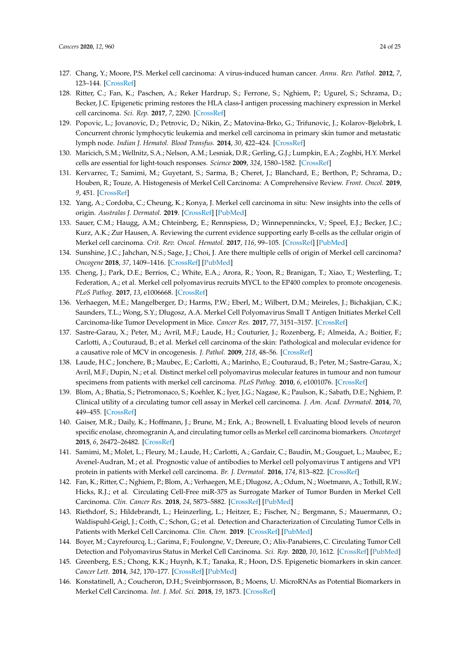- 127. Chang, Y.; Moore, P.S. Merkel cell carcinoma: A virus-induced human cancer. *Annu. Rev. Pathol.* **2012**, *7*, 123–144. [\[CrossRef\]](http://dx.doi.org/10.1146/annurev-pathol-011110-130227)
- 128. Ritter, C.; Fan, K.; Paschen, A.; Reker Hardrup, S.; Ferrone, S.; Nghiem, P.; Ugurel, S.; Schrama, D.; Becker, J.C. Epigenetic priming restores the HLA class-I antigen processing machinery expression in Merkel cell carcinoma. *Sci. Rep.* **2017**, *7*, 2290. [\[CrossRef\]](http://dx.doi.org/10.1038/s41598-017-02608-0)
- 129. Popovic, L.; Jovanovic, D.; Petrovic, D.; Nikin, Z.; Matovina-Brko, G.; Trifunovic, J.; Kolarov-Bjelobrk, I. Concurrent chronic lymphocytic leukemia and merkel cell carcinoma in primary skin tumor and metastatic lymph node. *Indian J. Hematol. Blood Transfus.* **2014**, *30*, 422–424. [\[CrossRef\]](http://dx.doi.org/10.1007/s12288-014-0447-4)
- 130. Maricich, S.M.; Wellnitz, S.A.; Nelson, A.M.; Lesniak, D.R.; Gerling, G.J.; Lumpkin, E.A.; Zoghbi, H.Y. Merkel cells are essential for light-touch responses. *Science* **2009**, *324*, 1580–1582. [\[CrossRef\]](http://dx.doi.org/10.1126/science.1172890)
- 131. Kervarrec, T.; Samimi, M.; Guyetant, S.; Sarma, B.; Cheret, J.; Blanchard, E.; Berthon, P.; Schrama, D.; Houben, R.; Touze, A. Histogenesis of Merkel Cell Carcinoma: A Comprehensive Review. *Front. Oncol.* **2019**, *9*, 451. [\[CrossRef\]](http://dx.doi.org/10.3389/fonc.2019.00451)
- 132. Yang, A.; Cordoba, C.; Cheung, K.; Konya, J. Merkel cell carcinoma in situ: New insights into the cells of origin. *Australas J. Dermatol.* **2019**. [\[CrossRef\]](http://dx.doi.org/10.1111/ajd.13068) [\[PubMed\]](http://www.ncbi.nlm.nih.gov/pubmed/31025338)
- 133. Sauer, C.M.; Haugg, A.M.; Chteinberg, E.; Rennspiess, D.; Winnepenninckx, V.; Speel, E.J.; Becker, J.C.; Kurz, A.K.; Zur Hausen, A. Reviewing the current evidence supporting early B-cells as the cellular origin of Merkel cell carcinoma. *Crit. Rev. Oncol. Hematol.* **2017**, *116*, 99–105. [\[CrossRef\]](http://dx.doi.org/10.1016/j.critrevonc.2017.05.009) [\[PubMed\]](http://www.ncbi.nlm.nih.gov/pubmed/28693804)
- 134. Sunshine, J.C.; Jahchan, N.S.; Sage, J.; Choi, J. Are there multiple cells of origin of Merkel cell carcinoma? *Oncogene* **2018**, *37*, 1409–1416. [\[CrossRef\]](http://dx.doi.org/10.1038/s41388-017-0073-3) [\[PubMed\]](http://www.ncbi.nlm.nih.gov/pubmed/29321666)
- 135. Cheng, J.; Park, D.E.; Berrios, C.; White, E.A.; Arora, R.; Yoon, R.; Branigan, T.; Xiao, T.; Westerling, T.; Federation, A.; et al. Merkel cell polyomavirus recruits MYCL to the EP400 complex to promote oncogenesis. *PLoS Pathog.* **2017**, *13*, e1006668. [\[CrossRef\]](http://dx.doi.org/10.1371/journal.ppat.1006668)
- 136. Verhaegen, M.E.; Mangelberger, D.; Harms, P.W.; Eberl, M.; Wilbert, D.M.; Meireles, J.; Bichakjian, C.K.; Saunders, T.L.; Wong, S.Y.; Dlugosz, A.A. Merkel Cell Polyomavirus Small T Antigen Initiates Merkel Cell Carcinoma-like Tumor Development in Mice. *Cancer Res.* **2017**, *77*, 3151–3157. [\[CrossRef\]](http://dx.doi.org/10.1158/0008-5472.CAN-17-0035)
- 137. Sastre-Garau, X.; Peter, M.; Avril, M.F.; Laude, H.; Couturier, J.; Rozenberg, F.; Almeida, A.; Boitier, F.; Carlotti, A.; Couturaud, B.; et al. Merkel cell carcinoma of the skin: Pathological and molecular evidence for a causative role of MCV in oncogenesis. *J. Pathol.* **2009**, *218*, 48–56. [\[CrossRef\]](http://dx.doi.org/10.1002/path.2532)
- 138. Laude, H.C.; Jonchere, B.; Maubec, E.; Carlotti, A.; Marinho, E.; Couturaud, B.; Peter, M.; Sastre-Garau, X.; Avril, M.F.; Dupin, N.; et al. Distinct merkel cell polyomavirus molecular features in tumour and non tumour specimens from patients with merkel cell carcinoma. *PLoS Pathog.* **2010**, *6*, e1001076. [\[CrossRef\]](http://dx.doi.org/10.1371/journal.ppat.1001076)
- 139. Blom, A.; Bhatia, S.; Pietromonaco, S.; Koehler, K.; Iyer, J.G.; Nagase, K.; Paulson, K.; Sabath, D.E.; Nghiem, P. Clinical utility of a circulating tumor cell assay in Merkel cell carcinoma. *J. Am. Acad. Dermatol.* **2014**, *70*, 449–455. [\[CrossRef\]](http://dx.doi.org/10.1016/j.jaad.2013.10.051)
- 140. Gaiser, M.R.; Daily, K.; Hoffmann, J.; Brune, M.; Enk, A.; Brownell, I. Evaluating blood levels of neuron specific enolase, chromogranin A, and circulating tumor cells as Merkel cell carcinoma biomarkers. *Oncotarget* **2015**, *6*, 26472–26482. [\[CrossRef\]](http://dx.doi.org/10.18632/oncotarget.4500)
- 141. Samimi, M.; Molet, L.; Fleury, M.; Laude, H.; Carlotti, A.; Gardair, C.; Baudin, M.; Gouguet, L.; Maubec, E.; Avenel-Audran, M.; et al. Prognostic value of antibodies to Merkel cell polyomavirus T antigens and VP1 protein in patients with Merkel cell carcinoma. *Br. J. Dermatol.* **2016**, *174*, 813–822. [\[CrossRef\]](http://dx.doi.org/10.1111/bjd.14313)
- 142. Fan, K.; Ritter, C.; Nghiem, P.; Blom, A.; Verhaegen, M.E.; Dlugosz, A.; Odum, N.; Woetmann, A.; Tothill, R.W.; Hicks, R.J.; et al. Circulating Cell-Free miR-375 as Surrogate Marker of Tumor Burden in Merkel Cell Carcinoma. *Clin. Cancer Res.* **2018**, *24*, 5873–5882. [\[CrossRef\]](http://dx.doi.org/10.1158/1078-0432.CCR-18-1184) [\[PubMed\]](http://www.ncbi.nlm.nih.gov/pubmed/30061360)
- 143. Riethdorf, S.; Hildebrandt, L.; Heinzerling, L.; Heitzer, E.; Fischer, N.; Bergmann, S.; Mauermann, O.; Waldispuhl-Geigl, J.; Coith, C.; Schon, G.; et al. Detection and Characterization of Circulating Tumor Cells in Patients with Merkel Cell Carcinoma. *Clin. Chem.* **2019**. [\[CrossRef\]](http://dx.doi.org/10.1373/clinchem.2018.297028) [\[PubMed\]](http://www.ncbi.nlm.nih.gov/pubmed/30626636)
- 144. Boyer, M.; Cayrefourcq, L.; Garima, F.; Foulongne, V.; Dereure, O.; Alix-Panabieres, C. Circulating Tumor Cell Detection and Polyomavirus Status in Merkel Cell Carcinoma. *Sci. Rep.* **2020**, *10*, 1612. [\[CrossRef\]](http://dx.doi.org/10.1038/s41598-020-58572-9) [\[PubMed\]](http://www.ncbi.nlm.nih.gov/pubmed/32005907)
- 145. Greenberg, E.S.; Chong, K.K.; Huynh, K.T.; Tanaka, R.; Hoon, D.S. Epigenetic biomarkers in skin cancer. *Cancer Lett.* **2014**, *342*, 170–177. [\[CrossRef\]](http://dx.doi.org/10.1016/j.canlet.2012.01.020) [\[PubMed\]](http://www.ncbi.nlm.nih.gov/pubmed/22289720)
- 146. Konstatinell, A.; Coucheron, D.H.; Sveinbjornsson, B.; Moens, U. MicroRNAs as Potential Biomarkers in Merkel Cell Carcinoma. *Int. J. Mol. Sci.* **2018**, *19*, 1873. [\[CrossRef\]](http://dx.doi.org/10.3390/ijms19071873)